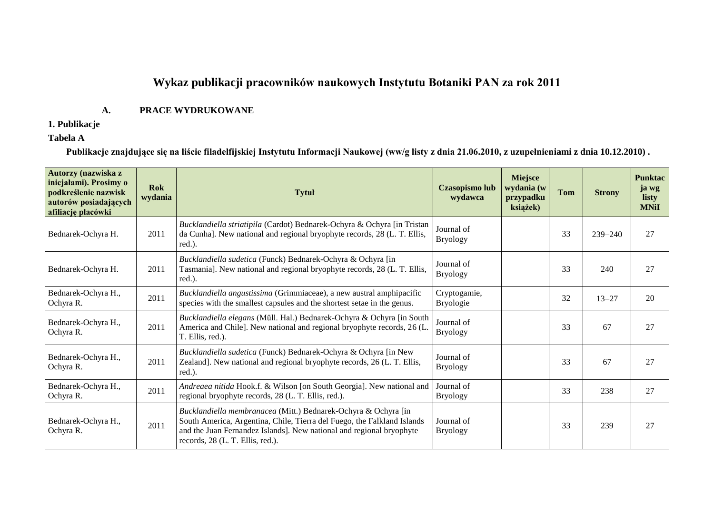# **Wykaz publikacji pracowników naukowych Instytutu Botaniki PAN za rok 2011**

### **A. PRACE WYDRUKOWANE**

### **1. Publikacje**

### **Tabela A**

**Publikacje znajdujące się na liście filadelfijskiej Instytutu Informacji Naukowej (ww/g listy z dnia 21.06.2010, z uzupełnieniami z dnia 10.12.2010) .**

| Autorzy (nazwiska z<br>inicjałami). Prosimy o<br>podkreślenie nazwisk<br>autorów posiadających<br>afiliację placówki | <b>Rok</b><br>wydania | <b>Tytuł</b>                                                                                                                                                                                                                                          | <b>Czasopismo lub</b><br>wydawca | Miejsce<br>wydania (w<br>przypadku<br>książek) | <b>Tom</b> | <b>Strony</b> | <b>Punktac</b><br>ja wg<br>listy<br><b>MNiI</b> |
|----------------------------------------------------------------------------------------------------------------------|-----------------------|-------------------------------------------------------------------------------------------------------------------------------------------------------------------------------------------------------------------------------------------------------|----------------------------------|------------------------------------------------|------------|---------------|-------------------------------------------------|
| Bednarek-Ochyra H.                                                                                                   | 2011                  | Bucklandiella striatipila (Cardot) Bednarek-Ochyra & Ochyra [in Tristan<br>da Cunha]. New national and regional bryophyte records, 28 (L. T. Ellis,<br>red.).                                                                                         | Journal of<br><b>Bryology</b>    |                                                | 33         | $239 - 240$   | 27                                              |
| Bednarek-Ochyra H.                                                                                                   | 2011                  | Bucklandiella sudetica (Funck) Bednarek-Ochyra & Ochyra [in<br>Tasmania]. New national and regional bryophyte records, 28 (L. T. Ellis,<br>red.).                                                                                                     | Journal of<br><b>Bryology</b>    |                                                | 33         | 240           | 27                                              |
| Bednarek-Ochyra H.,<br>Ochyra R.                                                                                     | 2011                  | Bucklandiella angustissima (Grimmiaceae), a new austral amphipacific<br>species with the smallest capsules and the shortest setae in the genus.                                                                                                       | Cryptogamie,<br><b>Bryologie</b> |                                                | 32         | $13 - 27$     | 20                                              |
| Bednarek-Ochyra H.,<br>Ochyra R.                                                                                     | 2011                  | Bucklandiella elegans (Müll. Hal.) Bednarek-Ochyra & Ochyra [in South<br>America and Chile]. New national and regional bryophyte records, 26 (L.<br>T. Ellis, red.).                                                                                  | Journal of<br><b>Bryology</b>    |                                                | 33         | 67            | 27                                              |
| Bednarek-Ochyra H.,<br>Ochyra R.                                                                                     | 2011                  | Bucklandiella sudetica (Funck) Bednarek-Ochyra & Ochyra [in New<br>Zealand]. New national and regional bryophyte records, 26 (L. T. Ellis,<br>red.).                                                                                                  | Journal of<br><b>Bryology</b>    |                                                | 33         | 67            | 27                                              |
| Bednarek-Ochyra H.,<br>Ochyra R.                                                                                     | 2011                  | Andreaea nitida Hook.f. & Wilson [on South Georgia]. New national and<br>regional bryophyte records, 28 (L. T. Ellis, red.).                                                                                                                          | Journal of<br><b>Bryology</b>    |                                                | 33         | 238           | 27                                              |
| Bednarek-Ochyra H.,<br>Ochyra R.                                                                                     | 2011                  | Bucklandiella membranacea (Mitt.) Bednarek-Ochyra & Ochyra [in<br>South America, Argentina, Chile, Tierra del Fuego, the Falkland Islands<br>and the Juan Fernandez Islands]. New national and regional bryophyte<br>records, 28 (L. T. Ellis, red.). | Journal of<br><b>Bryology</b>    |                                                | 33         | 239           | 27                                              |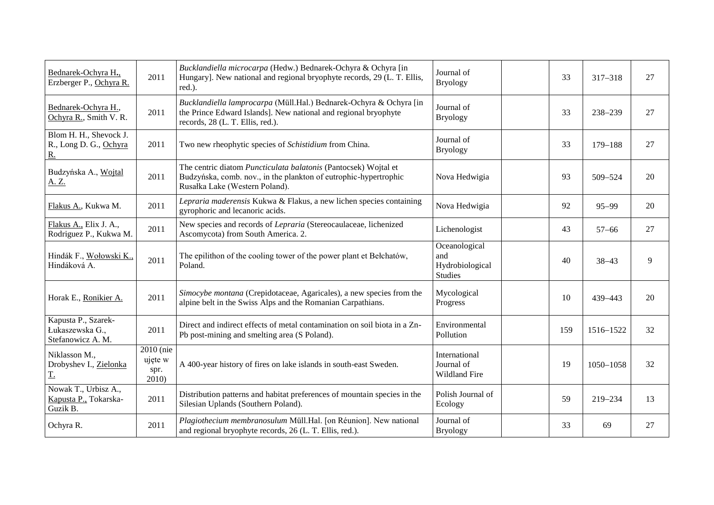| Bednarek-Ochyra H.,<br>Erzberger P., Ochyra R.                | 2011                                  | Bucklandiella microcarpa (Hedw.) Bednarek-Ochyra & Ochyra [in<br>Hungary]. New national and regional bryophyte records, 29 (L. T. Ellis,<br>red.).                        | Journal of<br><b>Bryology</b>                             | 33  | $317 - 318$ | 27 |
|---------------------------------------------------------------|---------------------------------------|---------------------------------------------------------------------------------------------------------------------------------------------------------------------------|-----------------------------------------------------------|-----|-------------|----|
| Bednarek-Ochyra H.,<br>Ochyra R., Smith V. R.                 | 2011                                  | Bucklandiella lamprocarpa (Müll.Hal.) Bednarek-Ochyra & Ochyra [in<br>the Prince Edward Islands]. New national and regional bryophyte<br>records, 28 (L. T. Ellis, red.). | Journal of<br><b>Bryology</b>                             | 33  | 238-239     | 27 |
| Blom H. H., Shevock J.<br>R., Long D. G., Ochyra<br><u>R.</u> | 2011                                  | Two new rheophytic species of Schistidium from China.                                                                                                                     | Journal of<br><b>Bryology</b>                             | 33  | $179 - 188$ | 27 |
| Budzyńska A., Wojtal<br>A. Z.                                 | 2011                                  | The centric diatom Puncticulata balatonis (Pantocsek) Wojtal et<br>Budzyńska, comb. nov., in the plankton of eutrophic-hypertrophic<br>Rusałka Lake (Western Poland).     | Nova Hedwigia                                             | 93  | 509-524     | 20 |
| Flakus A., Kukwa M.                                           | 2011                                  | Lepraria maderensis Kukwa & Flakus, a new lichen species containing<br>gyrophoric and lecanoric acids.                                                                    | Nova Hedwigia                                             | 92  | $95 - 99$   | 20 |
| Flakus A., Elix J. A.,<br>Rodriguez P., Kukwa M.              | 2011                                  | New species and records of Lepraria (Stereocaulaceae, lichenized<br>Ascomycota) from South America. 2.                                                                    | Lichenologist                                             | 43  | $57 - 66$   | 27 |
| Hindák F., Wołowski K.,<br>Hindáková A.                       | 2011                                  | The epilithon of the cooling tower of the power plant et Bełchatów,<br>Poland.                                                                                            | Oceanological<br>and<br>Hydrobiological<br><b>Studies</b> | 40  | $38 - 43$   | 9  |
| Horak E., Ronikier A.                                         | 2011                                  | Simocybe montana (Crepidotaceae, Agaricales), a new species from the<br>alpine belt in the Swiss Alps and the Romanian Carpathians.                                       | Mycological<br>Progress                                   | 10  | 439-443     | 20 |
| Kapusta P., Szarek-<br>Łukaszewska G.,<br>Stefanowicz A. M.   | 2011                                  | Direct and indirect effects of metal contamination on soil biota in a Zn-<br>Pb post-mining and smelting area (S Poland).                                                 | Environmental<br>Pollution                                | 159 | 1516-1522   | 32 |
| Niklasson M.,<br>Drobyshev I., Zielonka<br>$\underline{T}$ .  | 2010 (nie<br>ujęte w<br>spr.<br>2010) | A 400-year history of fires on lake islands in south-east Sweden.                                                                                                         | International<br>Journal of<br>Wildland Fire              | 19  | 1050-1058   | 32 |
| Nowak T., Urbisz A.,<br>Kapusta P., Tokarska-<br>Guzik B.     | 2011                                  | Distribution patterns and habitat preferences of mountain species in the<br>Silesian Uplands (Southern Poland).                                                           | Polish Journal of<br>Ecology                              | 59  | 219-234     | 13 |
| Ochyra R.                                                     | 2011                                  | Plagiothecium membranosulum Müll.Hal. [on Réunion]. New national<br>and regional bryophyte records, 26 (L. T. Ellis, red.).                                               | Journal of<br><b>Bryology</b>                             | 33  | 69          | 27 |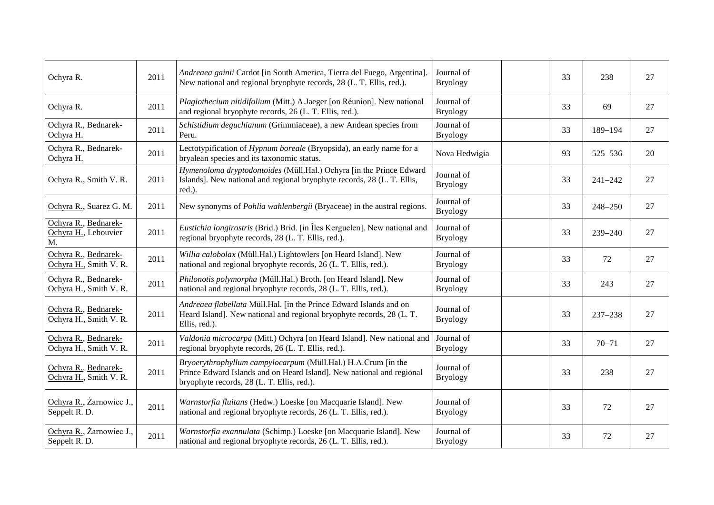| Ochyra R.                                          | 2011 | Andreaea gainii Cardot [in South America, Tierra del Fuego, Argentina]<br>New national and regional bryophyte records, 28 (L. T. Ellis, red.).                                       | Journal of<br><b>Bryology</b> | 33 | 238         | 27 |
|----------------------------------------------------|------|--------------------------------------------------------------------------------------------------------------------------------------------------------------------------------------|-------------------------------|----|-------------|----|
| Ochyra R.                                          | 2011 | Plagiothecium nitidifolium (Mitt.) A.Jaeger [on Réunion]. New national<br>and regional bryophyte records, 26 (L. T. Ellis, red.).                                                    | Journal of<br><b>Bryology</b> | 33 | 69          | 27 |
| Ochyra R., Bednarek-<br>Ochyra H.                  | 2011 | Schistidium deguchianum (Grimmiaceae), a new Andean species from<br>Peru.                                                                                                            | Journal of<br><b>Bryology</b> | 33 | 189-194     | 27 |
| Ochyra R., Bednarek-<br>Ochyra H.                  | 2011 | Lectotypification of Hypnum boreale (Bryopsida), an early name for a<br>bryalean species and its taxonomic status.                                                                   | Nova Hedwigia                 | 93 | 525-536     | 20 |
| Ochyra R., Smith V. R.                             | 2011 | Hymenoloma dryptodontoides (Müll.Hal.) Ochyra [in the Prince Edward<br>Islands]. New national and regional bryophyte records, 28 (L. T. Ellis,<br>red.).                             | Journal of<br><b>Bryology</b> | 33 | $241 - 242$ | 27 |
| Ochyra R., Suarez G. M.                            | 2011 | New synonyms of <i>Pohlia wahlenbergii</i> (Bryaceae) in the austral regions.                                                                                                        | Journal of<br><b>Bryology</b> | 33 | 248-250     | 27 |
| Ochyra R., Bednarek-<br>Ochyra H., Lebouvier<br>M. | 2011 | Eustichia longirostris (Brid.) Brid. [in Îles Kerguelen]. New national and<br>regional bryophyte records, 28 (L. T. Ellis, red.).                                                    | Journal of<br><b>Bryology</b> | 33 | $239 - 240$ | 27 |
| Ochyra R., Bednarek-<br>Ochyra H., Smith V. R.     | 2011 | Willia calobolax (Müll.Hal.) Lightowlers [on Heard Island]. New<br>national and regional bryophyte records, 26 (L. T. Ellis, red.).                                                  | Journal of<br><b>Bryology</b> | 33 | 72          | 27 |
| Ochyra R., Bednarek-<br>Ochyra H., Smith V. R.     | 2011 | Philonotis polymorpha (Müll.Hal.) Broth. [on Heard Island]. New<br>national and regional bryophyte records, 28 (L. T. Ellis, red.).                                                  | Journal of<br><b>Bryology</b> | 33 | 243         | 27 |
| Ochyra R., Bednarek-<br>Ochyra H., Smith V. R.     | 2011 | Andreaea flabellata Müll.Hal. [in the Prince Edward Islands and on<br>Heard Island]. New national and regional bryophyte records, 28 (L. T.<br>Ellis, red.).                         | Journal of<br><b>Bryology</b> | 33 | $237 - 238$ | 27 |
| Ochyra R., Bednarek-<br>Ochyra H., Smith V. R.     | 2011 | Valdonia microcarpa (Mitt.) Ochyra [on Heard Island]. New national and<br>regional bryophyte records, 26 (L. T. Ellis, red.).                                                        | Journal of<br><b>Bryology</b> | 33 | $70 - 71$   | 27 |
| Ochyra R., Bednarek-<br>Ochyra H., Smith V. R.     | 2011 | Bryoerythrophyllum campylocarpum (Müll.Hal.) H.A.Crum [in the<br>Prince Edward Islands and on Heard Island]. New national and regional<br>bryophyte records, 28 (L. T. Ellis, red.). | Journal of<br><b>Bryology</b> | 33 | 238         | 27 |
| Ochyra R., Żarnowiec J.,<br>Seppelt R. D.          | 2011 | Warnstorfia fluitans (Hedw.) Loeske [on Macquarie Island]. New<br>national and regional bryophyte records, 26 (L. T. Ellis, red.).                                                   | Journal of<br><b>Bryology</b> | 33 | 72          | 27 |
| Ochyra R., Żarnowiec J.,<br>Seppelt R. D.          | 2011 | Warnstorfia exannulata (Schimp.) Loeske [on Macquarie Island]. New<br>national and regional bryophyte records, 26 (L. T. Ellis, red.).                                               | Journal of<br><b>Bryology</b> | 33 | 72          | 27 |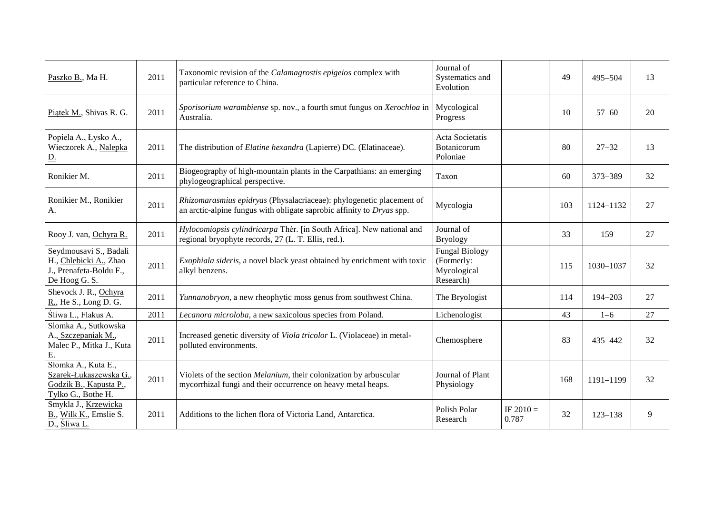| Paszko B., Ma H.                                                                              | 2011 | Taxonomic revision of the <i>Calamagrostis epigeios</i> complex with<br>particular reference to China.                                        | Journal of<br>Systematics and<br>Evolution                      |                      | 49  | $495 - 504$ | 13 |
|-----------------------------------------------------------------------------------------------|------|-----------------------------------------------------------------------------------------------------------------------------------------------|-----------------------------------------------------------------|----------------------|-----|-------------|----|
| Piątek M., Shivas R. G.                                                                       | 2011 | Sporisorium warambiense sp. nov., a fourth smut fungus on Xerochloa in<br>Australia.                                                          | Mycological<br>Progress                                         |                      | 10  | $57 - 60$   | 20 |
| Popiela A., Łysko A.,<br>Wieczorek A., Nalepka<br><u>D.</u>                                   | 2011 | The distribution of Elatine hexandra (Lapierre) DC. (Elatinaceae).                                                                            | Acta Societatis<br>Botanicorum<br>Poloniae                      |                      | 80  | $27 - 32$   | 13 |
| Ronikier M.                                                                                   | 2011 | Biogeography of high-mountain plants in the Carpathians: an emerging<br>phylogeographical perspective.                                        | Taxon                                                           |                      | 60  | 373-389     | 32 |
| Ronikier M., Ronikier<br>A.                                                                   | 2011 | Rhizomarasmius epidryas (Physalacriaceae): phylogenetic placement of<br>an arctic-alpine fungus with obligate saprobic affinity to Dryas spp. | Mycologia                                                       |                      | 103 | 1124-1132   | 27 |
| Rooy J. van, Ochyra R.                                                                        | 2011 | Hylocomiopsis cylindricarpa Thér. [in South Africa]. New national and<br>regional bryophyte records, 27 (L. T. Ellis, red.).                  | Journal of<br><b>Bryology</b>                                   |                      | 33  | 159         | 27 |
| Seydmousavi S., Badali<br>H., Chlebicki A., Zhao<br>J., Prenafeta-Boldu F.,<br>De Hoog G. S.  | 2011 | Exophiala sideris, a novel black yeast obtained by enrichment with toxic<br>alkyl benzens.                                                    | <b>Fungal Biology</b><br>(Formerly:<br>Mycological<br>Research) |                      | 115 | 1030-1037   | 32 |
| Shevock J. R., Ochyra<br>R., He S., Long D. G.                                                | 2011 | Yunnanobryon, a new rheophytic moss genus from southwest China.                                                                               | The Bryologist                                                  |                      | 114 | 194-203     | 27 |
| Śliwa L., Flakus A.                                                                           | 2011 | Lecanora microloba, a new saxicolous species from Poland.                                                                                     | Lichenologist                                                   |                      | 43  | $1 - 6$     | 27 |
| Slomka A., Sutkowska<br>A., Szczepaniak M.,<br>Malec P., Mitka J., Kuta<br>E.                 | 2011 | Increased genetic diversity of Viola tricolor L. (Violaceae) in metal-<br>polluted environments.                                              | Chemosphere                                                     |                      | 83  | 435-442     | 32 |
| Słomka A., Kuta E.,<br>Szarek-Łukaszewska G.,<br>Godzik B., Kapusta P.,<br>Tylko G., Bothe H. | 2011 | Violets of the section Melanium, their colonization by arbuscular<br>mycorrhizal fungi and their occurrence on heavy metal heaps.             | Journal of Plant<br>Physiology                                  |                      | 168 | 1191-1199   | 32 |
| Smykla J., Krzewicka<br>B., Wilk K., Emslie S.<br>D., Sliwa L.                                | 2011 | Additions to the lichen flora of Victoria Land, Antarctica.                                                                                   | Polish Polar<br>Research                                        | IF $2010 =$<br>0.787 | 32  | $123 - 138$ | 9  |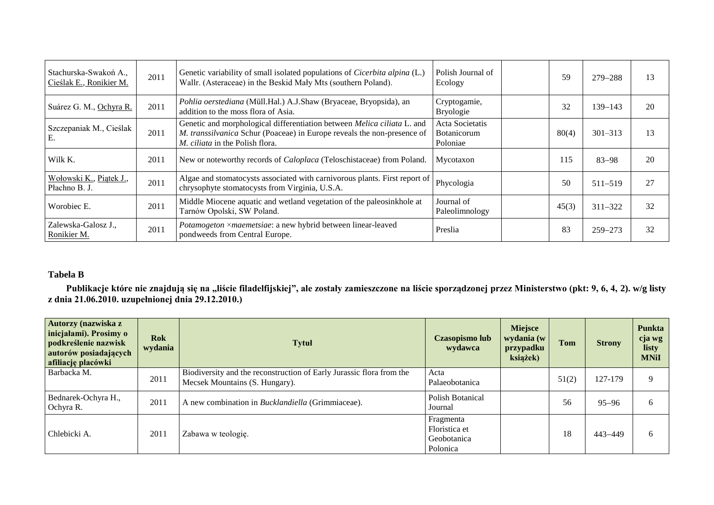| Stachurska-Swakoń A.,<br>Cieślak E., Ronikier M. | 2011 | Genetic variability of small isolated populations of <i>Cicerbita alpina</i> (L.)<br>Wallr. (Asteraceae) in the Beskid Mały Mts (southern Poland).                                    | Polish Journal of<br>Ecology               | 59    | $279 - 288$ | 13 |
|--------------------------------------------------|------|---------------------------------------------------------------------------------------------------------------------------------------------------------------------------------------|--------------------------------------------|-------|-------------|----|
| Suárez G. M., Ochyra R.                          | 2011 | Pohlia oerstediana (Müll.Hal.) A.J.Shaw (Bryaceae, Bryopsida), an<br>addition to the moss flora of Asia.                                                                              | Cryptogamie,<br><b>Bryologie</b>           | 32    | $139 - 143$ | 20 |
| Szczepaniak M., Cieślak<br>E.                    | 2011 | Genetic and morphological differentiation between Melica ciliata L. and<br>M. transsilvanica Schur (Poaceae) in Europe reveals the non-presence of<br>M. ciliata in the Polish flora. | Acta Societatis<br>Botanicorum<br>Poloniae | 80(4) | $301 - 313$ | 13 |
| Wilk K.                                          | 2011 | New or noteworthy records of <i>Caloplaca</i> (Teloschistaceae) from Poland.                                                                                                          | Mycotaxon                                  | 115   | $83 - 98$   | 20 |
| Wołowski K., Piątek J.,<br>Płachno B. J.         | 2011 | Algae and stomatocysts associated with carnivorous plants. First report of<br>chrysophyte stomatocysts from Virginia, U.S.A.                                                          | Phycologia                                 | 50    | $511 - 519$ | 27 |
| Worobiec E.                                      | 2011 | Middle Miocene aquatic and wetland vegetation of the paleosinkhole at<br>Tarnów Opolski, SW Poland.                                                                                   | Journal of<br>Paleolimnology               | 45(3) | $311 - 322$ | 32 |
| Zalewska-Galosz J.,<br>Ronikier M.               | 2011 | Potamogeton ×maemetsiae: a new hybrid between linear-leaved<br>pondweeds from Central Europe.                                                                                         | Preslia                                    | 83    | $259 - 273$ | 32 |

## **Tabela B**

**Publikacje które nie znajdują się na "liście filadelfijskiej", ale zostały zamieszczone na liście sporządzonej przez Ministerstwo (pkt: 9, 6, 4, 2). w/g listy z dnia 21.06.2010. uzupełnionej dnia 29.12.2010.)**

| Autorzy (nazwiska z<br>inicjałami). Prosimy o<br>podkreślenie nazwisk<br>autorów posiadających<br>afiliację placówki | <b>Rok</b><br>wydania | <b>Tytuł</b>                                                                                           | Czasopismo lub<br>wydawca                             | <b>Miejsce</b><br>wydania (w<br>przypadku<br>książek) | <b>Tom</b> | <b>Strony</b> | <b>Punkta</b><br>cja wg<br>listy<br><b>MNiI</b> |
|----------------------------------------------------------------------------------------------------------------------|-----------------------|--------------------------------------------------------------------------------------------------------|-------------------------------------------------------|-------------------------------------------------------|------------|---------------|-------------------------------------------------|
| Barbacka M.                                                                                                          | 2011                  | Biodiversity and the reconstruction of Early Jurassic flora from the<br>Mecsek Mountains (S. Hungary). | Acta<br>Palaeobotanica                                |                                                       | 51(2)      | 127-179       | 9                                               |
| Bednarek-Ochyra H.,<br>Ochyra R.                                                                                     | 2011                  | A new combination in <i>Bucklandiella</i> (Grimmiaceae).                                               | <b>Polish Botanical</b><br>Journal                    |                                                       | 56         | $95 - 96$     | 6                                               |
| Chlebicki A.                                                                                                         | 2011                  | Zabawa w teologię.                                                                                     | Fragmenta<br>Floristica et<br>Geobotanica<br>Polonica |                                                       | 18         | 443-449       | -6                                              |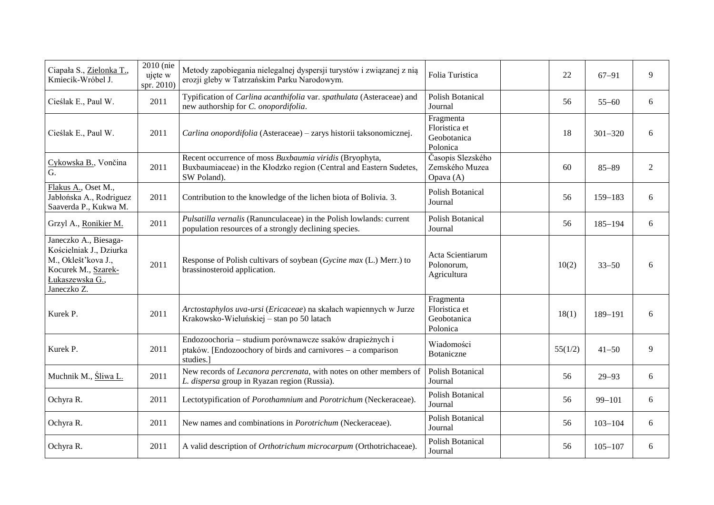| Ciapała S., Zielonka T.,<br>Kmiecik-Wróbel J.                                                                                    | 2010 (nie<br>ujęte w<br>spr. 2010) | Metody zapobiegania nielegalnej dyspersji turystów i związanej z nią<br>erozji gleby w Tatrzańskim Parku Narodowym.                          | Folia Turistica                                       | 22      | $67 - 91$   | 9 |
|----------------------------------------------------------------------------------------------------------------------------------|------------------------------------|----------------------------------------------------------------------------------------------------------------------------------------------|-------------------------------------------------------|---------|-------------|---|
| Cieślak E., Paul W.                                                                                                              | 2011                               | Typification of Carlina acanthifolia var. spathulata (Asteraceae) and<br>new authorship for C. onopordifolia.                                | <b>Polish Botanical</b><br>Journal                    | 56      | $55 - 60$   | 6 |
| Cieślak E., Paul W.                                                                                                              | 2011                               | Carlina onopordifolia (Asteraceae) - zarys historii taksonomicznej.                                                                          | Fragmenta<br>Floristica et<br>Geobotanica<br>Polonica | 18      | $301 - 320$ | 6 |
| Cykowska B., Vončina<br>G.                                                                                                       | 2011                               | Recent occurrence of moss Buxbaumia viridis (Bryophyta,<br>Buxbaumiaceae) in the Kłodzko region (Central and Eastern Sudetes,<br>SW Poland). | Časopis Slezského<br>Zemského Muzea<br>Opava (A)      | 60      | $85 - 89$   | 2 |
| Flakus A., Oset M.,<br>Jabłońska A., Rodriguez<br>Saaverda P., Kukwa M.                                                          | 2011                               | Contribution to the knowledge of the lichen biota of Bolivia. 3.                                                                             | <b>Polish Botanical</b><br>Journal                    | 56      | $159 - 183$ | 6 |
| Grzyl A., Ronikier M.                                                                                                            | 2011                               | Pulsatilla vernalis (Ranunculaceae) in the Polish lowlands: current<br>population resources of a strongly declining species.                 | <b>Polish Botanical</b><br>Journal                    | 56      | $185 - 194$ | 6 |
| Janeczko A., Biesaga-<br>Kościelniak J., Dziurka<br>M., Oklešť kova J.,<br>Kocurek M., Szarek-<br>Łukaszewska G.,<br>Janeczko Z. | 2011                               | Response of Polish cultivars of soybean (Gycine max (L.) Merr.) to<br>brassinosteroid application.                                           | Acta Scientiarum<br>Polonorum,<br>Agricultura         | 10(2)   | $33 - 50$   | 6 |
| Kurek P.                                                                                                                         | 2011                               | Arctostaphylos uva-ursi (Ericaceae) na skałach wapiennych w Jurze<br>Krakowsko-Wieluńskiej - stan po 50 latach                               | Fragmenta<br>Floristica et<br>Geobotanica<br>Polonica | 18(1)   | 189-191     | 6 |
| Kurek P.                                                                                                                         | 2011                               | Endozoochoria - studium porównawcze ssaków drapieżnych i<br>ptaków. [Endozoochory of birds and carnivores – a comparison<br>studies.]        | Wiadomości<br>Botaniczne                              | 55(1/2) | $41 - 50$   | 9 |
| Muchnik M., Sliwa L.                                                                                                             | 2011                               | New records of Lecanora percrenata, with notes on other members of<br>L. dispersa group in Ryazan region (Russia).                           | Polish Botanical<br>Journal                           | 56      | $29 - 93$   | 6 |
| Ochyra R.                                                                                                                        | 2011                               | Lectotypification of Porothamnium and Porotrichum (Neckeraceae).                                                                             | <b>Polish Botanical</b><br>Journal                    | 56      | $99 - 101$  | 6 |
| Ochyra R.                                                                                                                        | 2011                               | New names and combinations in <i>Porotrichum</i> (Neckeraceae).                                                                              | <b>Polish Botanical</b><br>Journal                    | 56      | $103 - 104$ | 6 |
| Ochyra R.                                                                                                                        | 2011                               | A valid description of Orthotrichum microcarpum (Orthotrichaceae).                                                                           | <b>Polish Botanical</b><br>Journal                    | 56      | $105 - 107$ | 6 |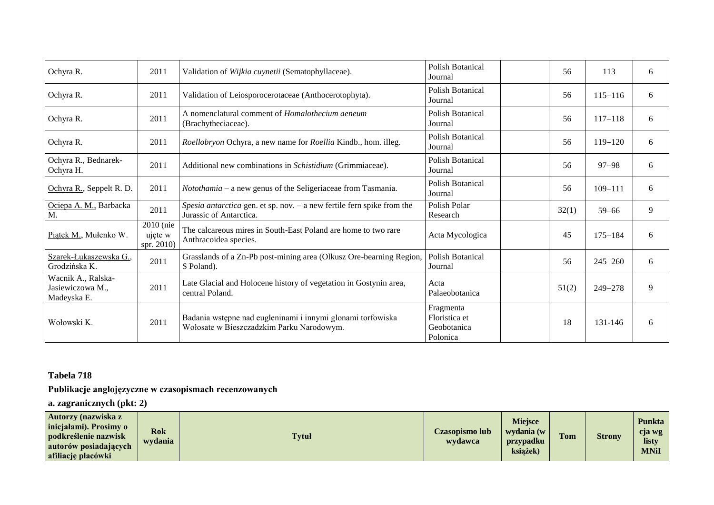| Ochyra R.                                           | 2011                               | Validation of <i>Wijkia cuynetii</i> (Sematophyllaceae).                                                 | Polish Botanical<br>Journal                           | 56    | 113         | 6           |
|-----------------------------------------------------|------------------------------------|----------------------------------------------------------------------------------------------------------|-------------------------------------------------------|-------|-------------|-------------|
| Ochyra R.                                           | 2011                               | Validation of Leiosporocerotaceae (Anthocerotophyta).                                                    | Polish Botanical<br>Journal                           | 56    | $115 - 116$ | 6           |
| Ochyra R.                                           | 2011                               | A nomenclatural comment of <i>Homalothecium aeneum</i><br>(Brachytheciaceae).                            | Polish Botanical<br>Journal                           | 56    | $117 - 118$ | 6           |
| Ochyra R.                                           | 2011                               | Roellobryon Ochyra, a new name for Roellia Kindb., hom. illeg.                                           | Polish Botanical<br>Journal                           | 56    | $119 - 120$ | 6           |
| Ochyra R., Bednarek-<br>Ochyra H.                   | 2011                               | Additional new combinations in Schistidium (Grimmiaceae).                                                | <b>Polish Botanical</b><br>Journal                    | 56    | $97 - 98$   | 6           |
| Ochyra R., Seppelt R. D.                            | 2011                               | Notothamia – a new genus of the Seligeriaceae from Tasmania.                                             | Polish Botanical<br>Journal                           | 56    | $109 - 111$ | 6           |
| Ociepa A. M., Barbacka<br>M.                        | 2011                               | Spesia antarctica gen. et sp. nov. - a new fertile fern spike from the<br>Jurassic of Antarctica.        | Polish Polar<br>Research                              | 32(1) | $59 - 66$   | 9           |
| Piatek M., Mułenko W.                               | 2010 (nie<br>ujęte w<br>spr. 2010) | The calcareous mires in South-East Poland are home to two rare<br>Anthracoidea species.                  | Acta Mycologica                                       | 45    | $175 - 184$ | 6           |
| Szarek-Łukaszewska G.,<br>Grodzińska K.             | 2011                               | Grasslands of a Zn-Pb post-mining area (Olkusz Ore-bearning Region,<br>S Poland).                        | Polish Botanical<br>Journal                           | 56    | $245 - 260$ | 6           |
| Wacnik A., Ralska-<br>Jasiewiczowa M<br>Madeyska E. | 2011                               | Late Glacial and Holocene history of vegetation in Gostynin area,<br>central Poland.                     | Acta<br>Palaeobotanica                                | 51(2) | 249-278     | $\mathbf Q$ |
| Wołowski K.                                         | 2011                               | Badania wstępne nad eugleninami i innymi glonami torfowiska<br>Wołosate w Bieszczadzkim Parku Narodowym. | Fragmenta<br>Floristica et<br>Geobotanica<br>Polonica | 18    | 131-146     | 6           |

# **Tabela 718**

# **Publikacje anglojęzyczne w czasopismach recenzowanych**

**a. zagranicznych (pkt: 2)**

| Autorzy (nazwiska z<br>inicjałami). Prosimy o<br>podkreślenie nazwisk<br>autorów posiadających<br>afiliację placówki | Rok<br>wydania | <b>Tytuł</b> | Czasopismo lub<br>wydawca | <b>Miejsce</b><br>wydania (w<br>przypadku<br>ksiażek) | <b>Tom</b> | <b>Strony</b> | <b>Punkta</b><br>cja wg<br>listy<br><b>MNiI</b> |
|----------------------------------------------------------------------------------------------------------------------|----------------|--------------|---------------------------|-------------------------------------------------------|------------|---------------|-------------------------------------------------|
|----------------------------------------------------------------------------------------------------------------------|----------------|--------------|---------------------------|-------------------------------------------------------|------------|---------------|-------------------------------------------------|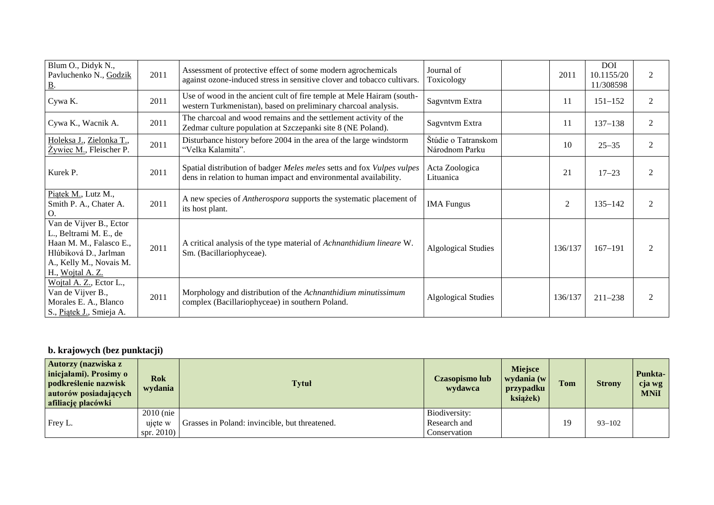| Blum O., Didyk N.,<br>Pavluchenko N., Godzik<br><u>B</u> .                                                                                           | 2011 | Assessment of protective effect of some modern agrochemicals<br>against ozone-induced stress in sensitive clover and tobacco cultivars.    | Journal of<br>Toxicology              | 2011           | <b>DOI</b><br>10.1155/20<br>11/308598 | $\mathfrak{D}$              |
|------------------------------------------------------------------------------------------------------------------------------------------------------|------|--------------------------------------------------------------------------------------------------------------------------------------------|---------------------------------------|----------------|---------------------------------------|-----------------------------|
| Cywa K.                                                                                                                                              | 2011 | Use of wood in the ancient cult of fire temple at Mele Hairam (south-<br>western Turkmenistan), based on preliminary charcoal analysis.    | Sagvntvm Extra                        | 11             | $151 - 152$                           | 2                           |
| Cywa K., Wacnik A.                                                                                                                                   | 2011 | The charcoal and wood remains and the settlement activity of the<br>Zedmar culture population at Szczepanki site 8 (NE Poland).            | Sagvntvm Extra                        | 11             | $137 - 138$                           | $\overline{c}$              |
| Holeksa J., Zielonka T.,<br>$\overline{Z}$ ywiec M., Fleischer P.                                                                                    | 2011 | Disturbance history before 2004 in the area of the large windstorm<br>"Velka Kalamita".                                                    | Štúdie o Tatranskom<br>Národnom Parku | 10             | $25 - 35$                             | 2                           |
| Kurek P.                                                                                                                                             | 2011 | Spatial distribution of badger Meles meles setts and fox Vulpes vulpes<br>dens in relation to human impact and environmental availability. | Acta Zoologica<br>Lituanica           | 21             | $17 - 23$                             | $\mathcal{D}_{\mathcal{L}}$ |
| Piątek M., Lutz M.,<br>Smith P. A., Chater A.<br>O.                                                                                                  | 2011 | A new species of <i>Antherospora</i> supports the systematic placement of<br>its host plant.                                               | <b>IMA</b> Fungus                     | $\overline{2}$ | $135 - 142$                           | $\overline{2}$              |
| Van de Vijver B., Ector<br>L., Beltrami M. E., de<br>Haan M. M., Falasco E.,<br>Hlúbiková D., Jarlman<br>A., Kelly M., Novais M.<br>H., Wojtal A. Z. | 2011 | A critical analysis of the type material of Achnanthidium lineare W.<br>Sm. (Bacillariophyceae).                                           | <b>Algological Studies</b>            | 136/137        | $167 - 191$                           | $\mathcal{D}$               |
| Wojtal A. Z., Ector L.,<br>Van de Vijver B.,<br>Morales E. A., Blanco<br>S., Piatek J., Smieja A.                                                    | 2011 | Morphology and distribution of the Achnanthidium minutissimum<br>complex (Bacillariophyceae) in southern Poland.                           | <b>Algological Studies</b>            | 136/137        | $211 - 238$                           |                             |

# **b. krajowych (bez punktacji)**

| <b>Autorzy (nazwiska z</b><br>inicjałami). Prosimy o<br>podkreślenie nazwisk<br>autorów posiadających<br>afiliację placówki | <b>Rok</b><br>wydania  | <b>Tytuł</b>                                   | <b>Czasopismo lub</b><br>wydawca | Miejsce<br>wydania (w<br>przypadku<br>książek) | <b>Tom</b> | <b>Strony</b> | Punkta-<br>cja wg<br><b>MNiI</b> |
|-----------------------------------------------------------------------------------------------------------------------------|------------------------|------------------------------------------------|----------------------------------|------------------------------------------------|------------|---------------|----------------------------------|
| Frey L.                                                                                                                     | $2010$ (nie<br>ujete w | Grasses in Poland: invincible, but threatened. | Biodiversity:<br>Research and    |                                                | 19         | $93 - 102$    |                                  |
|                                                                                                                             | spr. $2010$ )          |                                                | Conservation                     |                                                |            |               |                                  |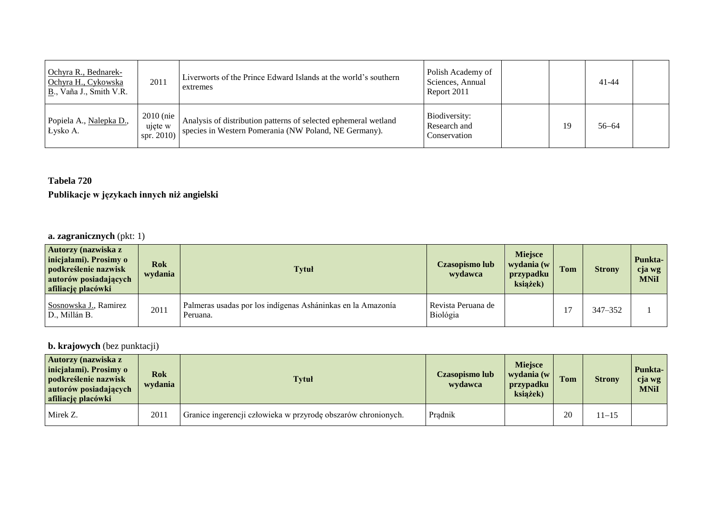| Ochyra R., Bednarek-<br>Ochyra H., Cykowska<br>$B$ ., Vaña J., Smith V.R. | 2011                                  | Liverworts of the Prince Edward Islands at the world's southern<br>extremes                                              | Polish Academy of<br>Sciences, Annual<br>Report 2011 |    | $41 - 44$ |  |
|---------------------------------------------------------------------------|---------------------------------------|--------------------------------------------------------------------------------------------------------------------------|------------------------------------------------------|----|-----------|--|
| Popiela A., Nalepka D.,<br>Łysko A.                                       | $2010$ (nie)<br>ujęte w<br>spr. 2010) | Analysis of distribution patterns of selected ephemeral wetland<br>species in Western Pomerania (NW Poland, NE Germany). | Biodiversity:<br>Research and<br>Conservation        | 19 | $56 - 64$ |  |

# **Tabela 720**

# **Publikacje w językach innych niż angielski**

# **a. zagranicznych** (pkt: 1)

| <b>Autorzy (nazwiska z</b><br>inicjałami). Prosimy o<br>podkreślenie nazwisk<br>autorów posiadających<br>afiliację placówki | <b>Rok</b><br>wydania | <b>Tytuł</b>                                                            | Czasopismo lub<br>wydawca        | <b>Miejsce</b><br>wydania (w<br>przypadku<br>książek) | Tom | <b>Strony</b> | Punkta-<br>cja wg<br><b>MNiI</b> |
|-----------------------------------------------------------------------------------------------------------------------------|-----------------------|-------------------------------------------------------------------------|----------------------------------|-------------------------------------------------------|-----|---------------|----------------------------------|
| Sosnowska J., Ramirez<br>D., Millán B.                                                                                      | 2011                  | Palmeras usadas por los indígenas Asháninkas en la Amazonía<br>Peruana. | l Revista Peruana de<br>Biológia |                                                       |     | 347-352       |                                  |

# **b. krajowych** (bez punktacji)

| <b>Autorzy (nazwiska z</b><br>inicjałami). Prosimy o<br>podkreślenie nazwisk<br>autorów posiadających<br><b>afiliację placówki</b> | <b>Rok</b><br>wydania | <b>Tytuł</b>                                                  | Czasopismo lub<br>wydawca | <b>Miejsce</b><br>wydania (w<br>przypadku<br>ksiażek) | Tom | <b>Strony</b> | <b>Punkta-</b><br>cja wg<br><b>MNiI</b> |
|------------------------------------------------------------------------------------------------------------------------------------|-----------------------|---------------------------------------------------------------|---------------------------|-------------------------------------------------------|-----|---------------|-----------------------------------------|
| Mirek Z.                                                                                                                           | 2011                  | Granice ingerencji człowieka w przyrodę obszarów chronionych. | Pradnik                   |                                                       | 20  | $1 - 15$      |                                         |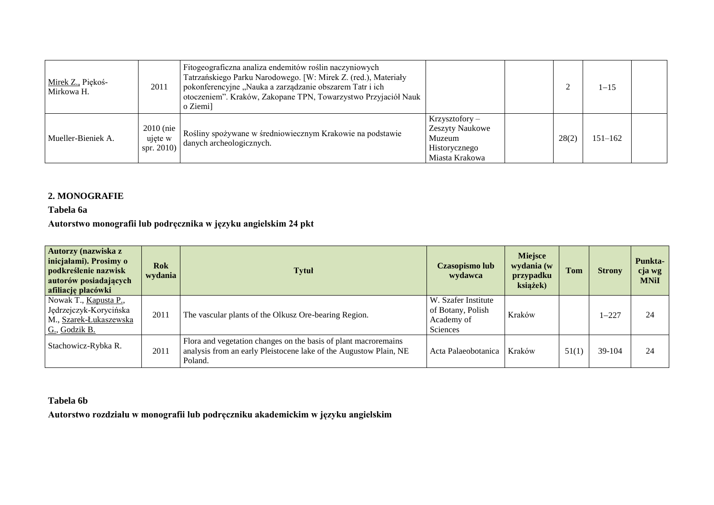| Mirek Z., Piękoś-<br>Mirkowa H. | 2011                                | Fitogeograficzna analiza endemitów roślin naczyniowych<br>Tatrzańskiego Parku Narodowego. [W: Mirek Z. (red.), Materiały<br>pokonferencyjne "Nauka a zarządzanie obszarem Tatr i ich<br>otoczeniem". Kraków, Zakopane TPN, Towarzystwo Przyjaciół Nauk<br>o Ziemi |                                                                                         |       | $1 - 15$    |  |
|---------------------------------|-------------------------------------|-------------------------------------------------------------------------------------------------------------------------------------------------------------------------------------------------------------------------------------------------------------------|-----------------------------------------------------------------------------------------|-------|-------------|--|
| Mueller-Bieniek A.              | $2010$ (nie<br>ujęte w<br>spr. 2010 | Rośliny spożywane w średniowiecznym Krakowie na podstawie<br>danych archeologicznych.                                                                                                                                                                             | $Krzysztofory -$<br><b>Zeszyty Naukowe</b><br>Muzeum<br>Historycznego<br>Miasta Krakowa | 28(2) | $151 - 162$ |  |

## **2. MONOGRAFIE**

**Tabela 6a**

**Autorstwo monografii lub podręcznika w języku angielskim 24 pkt**

| Autorzy (nazwiska z<br>inicjałami). Prosimy o<br>podkreślenie nazwisk<br>autorów posiadających<br>afiliację placówki | <b>Rok</b><br>wydania | <b>Tytuł</b>                                                                                                                                    | Czasopismo lub<br>wydawca                                          | <b>Miejsce</b><br>wydania (w<br>przypadku<br>książek) | <b>Tom</b> | <b>Strony</b> | <b>Punkta-</b><br>cja wg<br><b>MNiI</b> |
|----------------------------------------------------------------------------------------------------------------------|-----------------------|-------------------------------------------------------------------------------------------------------------------------------------------------|--------------------------------------------------------------------|-------------------------------------------------------|------------|---------------|-----------------------------------------|
| Nowak T., Kapusta P.,<br>Jędrzejczyk-Korycińska<br>M., Szarek-Łukaszewska<br>G., Godzik B.                           | 2011                  | The vascular plants of the Olkusz Ore-bearing Region.                                                                                           | W. Szafer Institute<br>of Botany, Polish<br>Academy of<br>Sciences | Kraków                                                |            | $-227$        | 24                                      |
| Stachowicz-Rybka R.                                                                                                  | 2011                  | Flora and vegetation changes on the basis of plant macroremains<br>analysis from an early Pleistocene lake of the Augustow Plain, NE<br>Poland. | Acta Palaeobotanica                                                | Kraków                                                | 51(1)      | 39-104        | 24                                      |

### **Tabela 6b**

**Autorstwo rozdziału w monografii lub podręczniku akademickim w języku angielskim**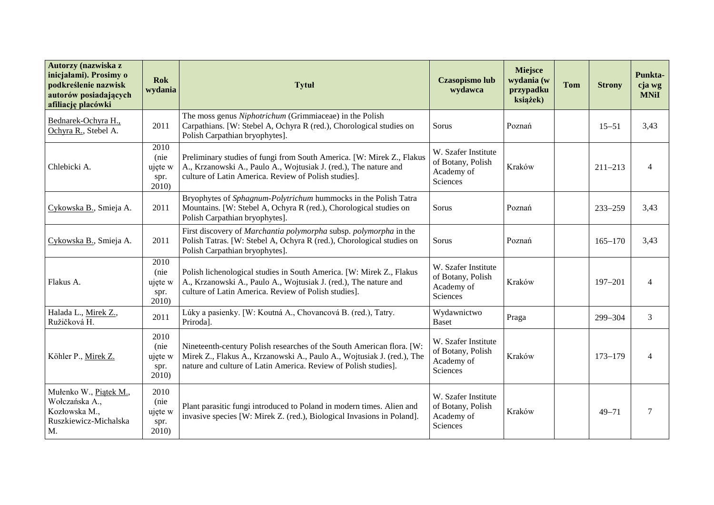| Autorzy (nazwiska z<br>inicjałami). Prosimy o<br>podkreślenie nazwisk<br>autorów posiadających<br>afiliację placówki | <b>Rok</b><br>wydania                    | <b>Tytuł</b>                                                                                                                                                                                                       | <b>Czasopismo lub</b><br>wydawca                                   | <b>Miejsce</b><br>wydania (w<br>przypadku<br>książek) | <b>Tom</b> | <b>Strony</b> | Punkta-<br>cja wg<br><b>MNiI</b> |
|----------------------------------------------------------------------------------------------------------------------|------------------------------------------|--------------------------------------------------------------------------------------------------------------------------------------------------------------------------------------------------------------------|--------------------------------------------------------------------|-------------------------------------------------------|------------|---------------|----------------------------------|
| Bednarek-Ochyra H.,<br>Ochyra R., Stebel A.                                                                          | 2011                                     | The moss genus Niphotrichum (Grimmiaceae) in the Polish<br>Carpathians. [W: Stebel A, Ochyra R (red.), Chorological studies on<br>Polish Carpathian bryophytes].                                                   | Sorus                                                              | Poznań                                                |            | $15 - 51$     | 3,43                             |
| Chlebicki A.                                                                                                         | 2010<br>(nie<br>ujęte w<br>spr.<br>2010  | Preliminary studies of fungi from South America. [W: Mirek Z., Flakus<br>A., Krzanowski A., Paulo A., Wojtusiak J. (red.), The nature and<br>culture of Latin America. Review of Polish studies].                  | W. Szafer Institute<br>of Botany, Polish<br>Academy of<br>Sciences | Kraków                                                |            | $211 - 213$   | $\overline{4}$                   |
| Cykowska B., Smieja A.                                                                                               | 2011                                     | Bryophytes of Sphagnum-Polytrichum hummocks in the Polish Tatra<br>Mountains. [W: Stebel A, Ochyra R (red.), Chorological studies on<br>Polish Carpathian bryophytes].                                             | Sorus                                                              | Poznań                                                |            | $233 - 259$   | 3,43                             |
| Cykowska B., Smieja A.                                                                                               | 2011                                     | First discovery of Marchantia polymorpha subsp. polymorpha in the<br>Polish Tatras. [W: Stebel A, Ochyra R (red.), Chorological studies on<br>Polish Carpathian bryophytes].                                       | Sorus                                                              | Poznań                                                |            | $165 - 170$   | 3,43                             |
| Flakus A.                                                                                                            | 2010<br>(nie<br>ujęte w<br>spr.<br>2010  | Polish lichenological studies in South America. [W: Mirek Z., Flakus<br>A., Krzanowski A., Paulo A., Wojtusiak J. (red.), The nature and<br>culture of Latin America. Review of Polish studies].                   | W. Szafer Institute<br>of Botany, Polish<br>Academy of<br>Sciences | Kraków                                                |            | $197 - 201$   | $\overline{4}$                   |
| Halada L., Mirek Z.,<br>Ružičková H.                                                                                 | 2011                                     | Lúky a pasienky. [W: Koutná A., Chovancová B. (red.), Tatry.<br>Priroda].                                                                                                                                          | Wydawnictwo<br><b>Baset</b>                                        | Praga                                                 |            | 299-304       | 3                                |
| Köhler P., Mirek Z.                                                                                                  | 2010<br>(nie<br>ujęte w<br>spr.<br>2010) | Nineteenth-century Polish researches of the South American flora. [W:<br>Mirek Z., Flakus A., Krzanowski A., Paulo A., Wojtusiak J. (red.), The<br>nature and culture of Latin America. Review of Polish studies]. | W. Szafer Institute<br>of Botany, Polish<br>Academy of<br>Sciences | Kraków                                                |            | $173 - 179$   | $\overline{4}$                   |
| Mułenko W., Piątek M.,<br>Wołczańska A.,<br>Kozłowska M.,<br>Ruszkiewicz-Michalska<br>M.                             | 2010<br>(nie<br>ujęte w<br>spr.<br>2010) | Plant parasitic fungi introduced to Poland in modern times. Alien and<br>invasive species [W: Mirek Z. (red.), Biological Invasions in Poland].                                                                    | W. Szafer Institute<br>of Botany, Polish<br>Academy of<br>Sciences | Kraków                                                |            | $49 - 71$     | 7                                |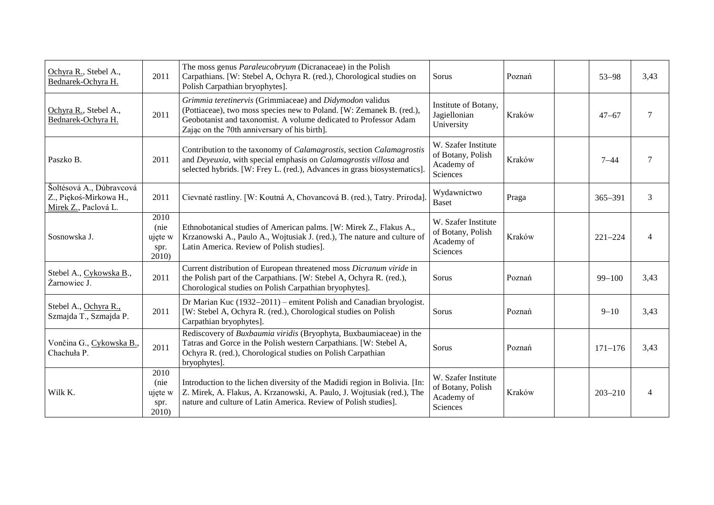| Ochyra R., Stebel A.,<br>Bednarek-Ochyra H.                                | 2011                                    | The moss genus <i>Paraleucobryum</i> (Dicranaceae) in the Polish<br>Carpathians. [W: Stebel A, Ochyra R. (red.), Chorological studies on<br>Polish Carpathian bryophytes].                                                                           | Sorus                                                              | Poznań | $53 - 98$   | 3,43                     |
|----------------------------------------------------------------------------|-----------------------------------------|------------------------------------------------------------------------------------------------------------------------------------------------------------------------------------------------------------------------------------------------------|--------------------------------------------------------------------|--------|-------------|--------------------------|
| Ochyra R., Stebel A.,<br>Bednarek-Ochyra H.                                | 2011                                    | Grimmia teretinervis (Grimmiaceae) and Didymodon validus<br>(Pottiaceae), two moss species new to Poland. [W: Zemanek B. (red.),<br>Geobotanist and taxonomist. A volume dedicated to Professor Adam<br>Zając on the 70th anniversary of his birth]. | Institute of Botany,<br>Jagiellonian<br>University                 | Kraków | $47 - 67$   | 7                        |
| Paszko B.                                                                  | 2011                                    | Contribution to the taxonomy of Calamagrostis, section Calamagrostis<br>and Deyeuxia, with special emphasis on Calamagrostis villosa and<br>selected hybrids. [W: Frey L. (red.), Advances in grass biosystematics].                                 | W. Szafer Institute<br>of Botany, Polish<br>Academy of<br>Sciences | Kraków | $7 - 44$    | $\overline{7}$           |
| Šoltésová A., Dúbravcová<br>Z., Piękoś-Mirkowa H.,<br>Mirek Z., Paclová L. | 2011                                    | Cievnaté rastliny. [W: Koutná A, Chovancová B. (red.), Tatry. Priroda].                                                                                                                                                                              | Wydawnictwo<br><b>Baset</b>                                        | Praga  | $365 - 391$ | 3                        |
| Sosnowska J.                                                               | 2010<br>(nie<br>ujęte w<br>spr.<br>2010 | Ethnobotanical studies of American palms. [W: Mirek Z., Flakus A.,<br>Krzanowski A., Paulo A., Wojtusiak J. (red.), The nature and culture of<br>Latin America. Review of Polish studies].                                                           | W. Szafer Institute<br>of Botany, Polish<br>Academy of<br>Sciences | Kraków | $221 - 224$ | 4                        |
| Stebel A., Cykowska B.,<br>Żarnowiec J.                                    | 2011                                    | Current distribution of European threatened moss Dicranum viride in<br>the Polish part of the Carpathians. [W: Stebel A, Ochyra R. (red.),<br>Chorological studies on Polish Carpathian bryophytes].                                                 | Sorus                                                              | Poznań | $99 - 100$  | 3,43                     |
| Stebel A., Ochyra R.,<br>Szmajda T., Szmajda P.                            | 2011                                    | Dr Marian Kuc (1932–2011) – emitent Polish and Canadian bryologist.<br>[W: Stebel A, Ochyra R. (red.), Chorological studies on Polish<br>Carpathian bryophytes].                                                                                     | Sorus                                                              | Poznań | $9 - 10$    | 3,43                     |
| Vončina G., Cykowska B.,<br>Chachuła P.                                    | 2011                                    | Rediscovery of Buxbaumia viridis (Bryophyta, Buxbaumiaceae) in the<br>Tatras and Gorce in the Polish western Carpathians. [W: Stebel A,<br>Ochyra R. (red.), Chorological studies on Polish Carpathian<br>bryophytes].                               | Sorus                                                              | Poznań | $171 - 176$ | 3,43                     |
| Wilk K.                                                                    | 2010<br>(nie<br>ujęte w<br>spr.<br>2010 | Introduction to the lichen diversity of the Madidi region in Bolivia. [In:<br>Z. Mirek, A. Flakus, A. Krzanowski, A. Paulo, J. Wojtusiak (red.), The<br>nature and culture of Latin America. Review of Polish studies].                              | W. Szafer Institute<br>of Botany, Polish<br>Academy of<br>Sciences | Kraków | $203 - 210$ | $\overline{\mathcal{A}}$ |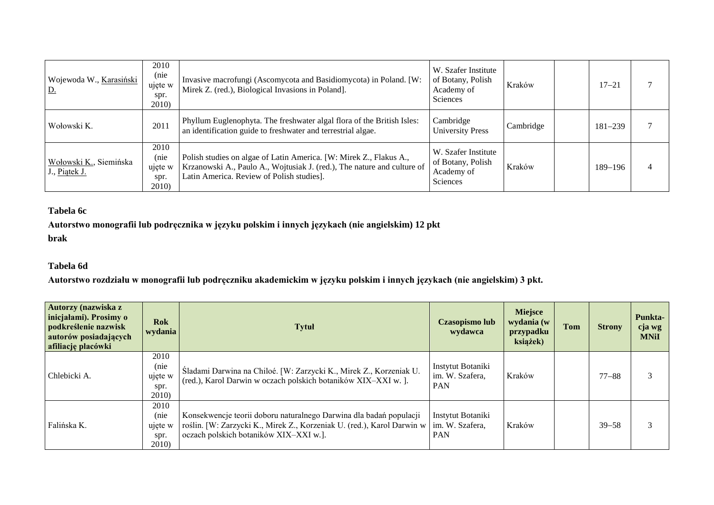| Wojewoda W., Karasiński<br><u>D.</u>    | 2010<br>(nie<br>ujęte w<br>spr.<br>2010)       | Invasive macrofungi (Ascomycota and Basidiomycota) in Poland. [W:<br>Mirek Z. (red.), Biological Invasions in Poland].                                                                     | W. Szafer Institute<br>of Botany, Polish<br>Academy of<br>Sciences | Kraków    | $17 - 21$   |  |
|-----------------------------------------|------------------------------------------------|--------------------------------------------------------------------------------------------------------------------------------------------------------------------------------------------|--------------------------------------------------------------------|-----------|-------------|--|
| Wołowski K.                             | 2011                                           | Phyllum Euglenophyta. The freshwater algal flora of the British Isles:<br>an identification guide to freshwater and terrestrial algae.                                                     | Cambridge<br><b>University Press</b>                               | Cambridge | $181 - 239$ |  |
| Wołowski K., Siemińska<br>J., Piątek J. | 2010<br>(nie<br>ujęte w<br>spr.<br><b>2010</b> | Polish studies on algae of Latin America. [W: Mirek Z., Flakus A.,<br>Krzanowski A., Paulo A., Wojtusiak J. (red.), The nature and culture of<br>Latin America. Review of Polish studies]. | W. Szafer Institute<br>of Botany, Polish<br>Academy of<br>Sciences | Kraków    | $189 - 196$ |  |

### **Tabela 6c**

**Autorstwo monografii lub podręcznika w języku polskim i innych językach (nie angielskim) 12 pkt brak**

### **Tabela 6d**

**Autorstwo rozdziału w monografii lub podręczniku akademickim w języku polskim i innych językach (nie angielskim) 3 pkt.**

| Autorzy (nazwiska z<br>inicjałami). Prosimy o<br>podkreślenie nazwisk<br>autorów posiadających<br>afiliację placówki | <b>Rok</b><br>wydania                    | <b>Tytuł</b>                                                                                                                                                                             | Czasopismo lub<br>wydawca                          | <b>Miejsce</b><br>wydania (w<br>przypadku<br>książek) | Tom | <b>Strony</b> | <b>Punkta-</b><br>cja wg<br><b>MNiI</b> |
|----------------------------------------------------------------------------------------------------------------------|------------------------------------------|------------------------------------------------------------------------------------------------------------------------------------------------------------------------------------------|----------------------------------------------------|-------------------------------------------------------|-----|---------------|-----------------------------------------|
| Chlebicki A.                                                                                                         | 2010<br>(nie<br>ujęte w<br>spr.<br>2010) | Sladami Darwina na Chiloé. [W: Zarzycki K., Mirek Z., Korzeniak U.<br>(red.), Karol Darwin w oczach polskich botaników XIX-XXI w. ].                                                     | Instytut Botaniki<br>im. W. Szafera,<br><b>PAN</b> | Kraków                                                |     | $77 - 88$     |                                         |
| Falińska K.                                                                                                          | 2010<br>(nie<br>ujęte w<br>spr.<br>2010) | Konsekwencje teorii doboru naturalnego Darwina dla badań populacji<br>roślin. [W: Zarzycki K., Mirek Z., Korzeniak U. (red.), Karol Darwin w  <br>oczach polskich botaników XIX-XXI w.]. | Instytut Botaniki<br>im. W. Szafera.<br><b>PAN</b> | Kraków                                                |     | $39 - 58$     |                                         |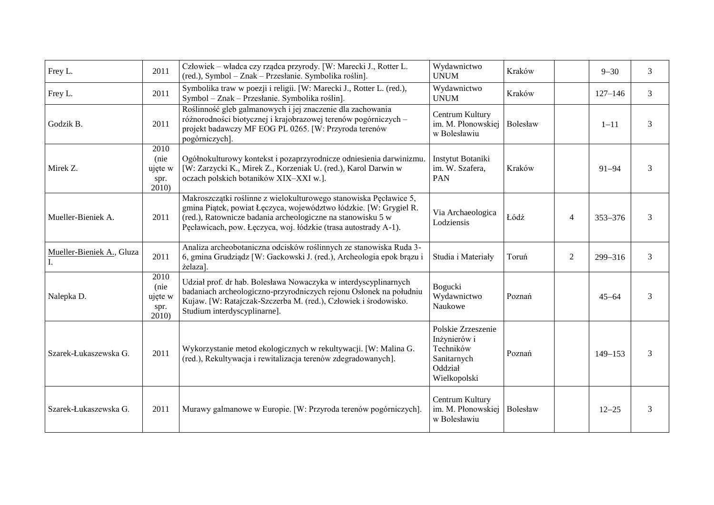| Frey L.                   | 2011                                    | Człowiek – władca czy rządca przyrody. [W: Marecki J., Rotter L.<br>(red.), Symbol - Znak - Przesłanie. Symbolika roślin].                                                                                                                                               | Wydawnictwo<br><b>UNUM</b>                                                                | Kraków   |                | $9 - 30$    | 3 |
|---------------------------|-----------------------------------------|--------------------------------------------------------------------------------------------------------------------------------------------------------------------------------------------------------------------------------------------------------------------------|-------------------------------------------------------------------------------------------|----------|----------------|-------------|---|
| Frey L.                   | 2011                                    | Symbolika traw w poezji i religii. [W: Marecki J., Rotter L. (red.),<br>Symbol - Znak - Przesłanie. Symbolika roślin].                                                                                                                                                   | Wydawnictwo<br><b>UNUM</b>                                                                | Kraków   |                | $127 - 146$ | 3 |
| Godzik B.                 | 2011                                    | Roślinność gleb galmanowych i jej znaczenie dla zachowania<br>różnorodności biotycznej i krajobrazowej terenów pogórniczych -<br>projekt badawczy MF EOG PL 0265. [W: Przyroda terenów<br>pogórniczych].                                                                 | Centrum Kultury<br>im. M. Płonowskiej<br>w Bolesławiu                                     | Bolesław |                | $1 - 11$    | 3 |
| Mirek Z.                  | 2010<br>(nie<br>ujęte w<br>spr.<br>2010 | Ogółnokulturowy kontekst i pozaprzyrodnicze odniesienia darwinizmu.<br>[W: Zarzycki K., Mirek Z., Korzeniak U. (red.), Karol Darwin w<br>oczach polskich botaników XIX-XXI w.].                                                                                          | Instytut Botaniki<br>im. W. Szafera,<br><b>PAN</b>                                        | Kraków   |                | $91 - 94$   | 3 |
| Mueller-Bieniek A.        | 2011                                    | Makroszczątki roślinne z wielokulturowego stanowiska Pęcławice 5,<br>gmina Piątek, powiat Łęczyca, województwo łódzkie. [W: Grygiel R.<br>(red.), Ratownicze badania archeologiczne na stanowisku 5 w<br>Pęcławicach, pow. Łęczyca, woj. łódzkie (trasa autostrady A-1). | Via Archaeologica<br>Lodziensis                                                           | Łódź     | $\overline{4}$ | $353 - 376$ | 3 |
| Mueller-Bieniek A., Gluza | 2011                                    | Analiza archeobotaniczna odcisków roślinnych ze stanowiska Ruda 3-<br>6, gmina Grudziądz [W: Gackowski J. (red.), Archeologia epok brązu i<br>żelaza].                                                                                                                   | Studia i Materiały                                                                        | Toruń    | $\overline{2}$ | 299-316     | 3 |
| Nalepka D.                | 2010<br>(nie<br>ujęte w<br>spr.<br>2010 | Udział prof. dr hab. Bolesława Nowaczyka w interdyscyplinarnych<br>badaniach archeologiczno-przyrodniczych rejonu Osłonek na południu<br>Kujaw. [W: Ratajczak-Szczerba M. (red.), Człowiek i środowisko.<br>Studium interdyscyplinarne].                                 | Bogucki<br>Wydawnictwo<br>Naukowe                                                         | Poznań   |                | $45 - 64$   | 3 |
| Szarek-Łukaszewska G.     | 2011                                    | Wykorzystanie metod ekologicznych w rekultywacji. [W: Malina G.<br>(red.), Rekultywacja i rewitalizacja terenów zdegradowanych].                                                                                                                                         | Polskie Zrzeszenie<br>Inżynierów i<br>Techników<br>Sanitarnych<br>Oddział<br>Wielkopolski | Poznań   |                | $149 - 153$ | 3 |
| Szarek-Łukaszewska G.     | 2011                                    | Murawy galmanowe w Europie. [W: Przyroda terenów pogórniczych].                                                                                                                                                                                                          | Centrum Kultury<br>im. M. Płonowskiej<br>w Bolesławiu                                     | Bolesław |                | $12 - 25$   | 3 |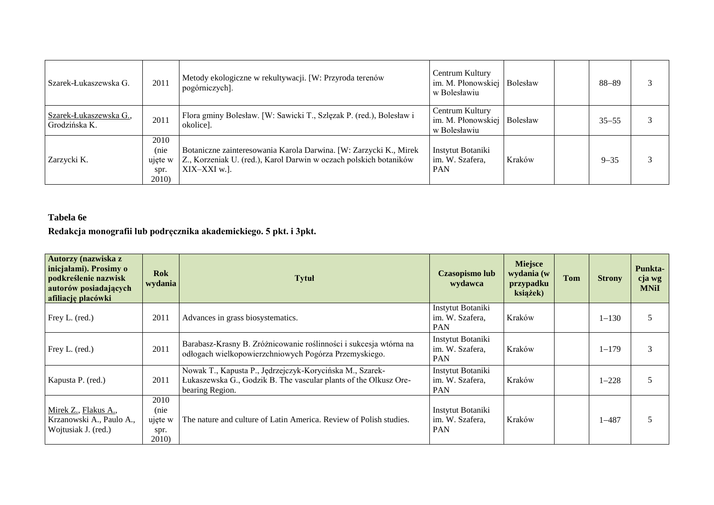| Szarek-Łukaszewska G.                   | 2011                                     | Metody ekologiczne w rekultywacji. [W: Przyroda terenów<br>pogórniczych].                                                                               | Centrum Kultury<br>im. M. Płonowskiej<br>w Bolesławiu | Bolesław | 88-89     |  |
|-----------------------------------------|------------------------------------------|---------------------------------------------------------------------------------------------------------------------------------------------------------|-------------------------------------------------------|----------|-----------|--|
| Szarek-Łukaszewska G.,<br>Grodzińska K. | 2011                                     | Flora gminy Bolesław. [W: Sawicki T., Szlęzak P. (red.), Bolesław i<br>okolice].                                                                        | Centrum Kultury<br>im. M. Płonowskiej<br>w Bolesławiu | Bolesław | $35 - 55$ |  |
| Zarzycki K.                             | 2010<br>(nie<br>ujęte w<br>spr.<br>2010) | Botaniczne zainteresowania Karola Darwina. [W: Zarzycki K., Mirek]<br>Z., Korzeniak U. (red.), Karol Darwin w oczach polskich botaników<br>XIX-XXI w.l. | Instytut Botaniki<br>im. W. Szafera,<br><b>PAN</b>    | Kraków   | $9 - 35$  |  |

# **Tabela 6e**

**Redakcja monografii lub podręcznika akademickiego. 5 pkt. i 3pkt.**

| Autorzy (nazwiska z<br>inicjałami). Prosimy o<br>podkreślenie nazwisk<br>autorów posiadających<br>afiliację placówki | <b>Rok</b><br>wydania                    | <b>Tytuł</b>                                                                                                                                    | <b>Czasopismo lub</b><br>wydawca                   | <b>Miejsce</b><br>wydania (w<br>przypadku<br>książek) | <b>Tom</b> | <b>Strony</b> | Punkta-<br>cja wg<br><b>MNiI</b> |
|----------------------------------------------------------------------------------------------------------------------|------------------------------------------|-------------------------------------------------------------------------------------------------------------------------------------------------|----------------------------------------------------|-------------------------------------------------------|------------|---------------|----------------------------------|
| Frey L. (red.)                                                                                                       | 2011                                     | Advances in grass biosystematics.                                                                                                               | Instytut Botaniki<br>im. W. Szafera,<br><b>PAN</b> | Kraków                                                |            | $1 - 130$     |                                  |
| Frey L. (red.)                                                                                                       | 2011                                     | Barabasz-Krasny B. Zróżnicowanie roślinności i sukcesja wtórna na<br>odłogach wielkopowierzchniowych Pogórza Przemyskiego.                      | Instytut Botaniki<br>im. W. Szafera,<br><b>PAN</b> | Kraków                                                |            | $1 - 179$     |                                  |
| Kapusta P. (red.)                                                                                                    | 2011                                     | Nowak T., Kapusta P., Jędrzejczyk-Korycińska M., Szarek-<br>Łukaszewska G., Godzik B. The vascular plants of the Olkusz Ore-<br>bearing Region. | Instytut Botaniki<br>im. W. Szafera,<br><b>PAN</b> | Kraków                                                |            | $1 - 228$     |                                  |
| Mirek Z., Flakus A.,<br>Krzanowski A., Paulo A.,<br>Wojtusiak J. (red.)                                              | 2010<br>(nie<br>ujęte w<br>spr.<br>2010) | The nature and culture of Latin America. Review of Polish studies.                                                                              | Instytut Botaniki<br>im. W. Szafera,<br><b>PAN</b> | Kraków                                                |            | $1 - 487$     |                                  |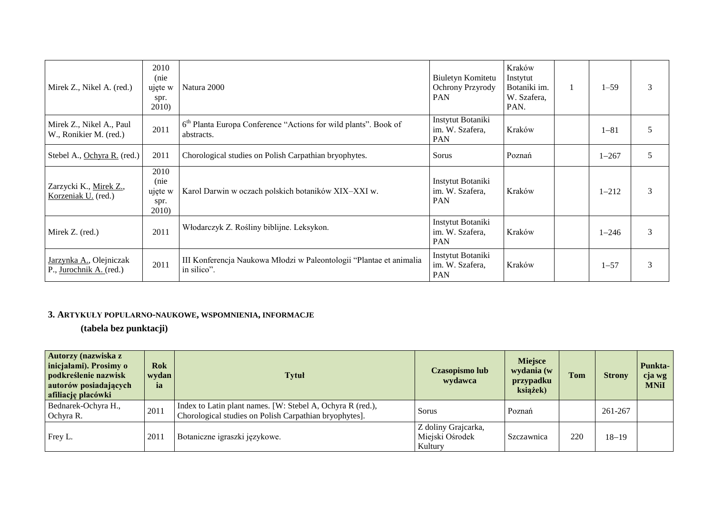| Mirek Z., Nikel A. (red.)                          | 2010<br>(nie<br>ujęte w<br>spr.<br>2010) | Natura 2000                                                                               | Biuletyn Komitetu<br>Ochrony Przyrody<br><b>PAN</b> | Kraków<br>Instytut<br>Botaniki im.<br>W. Szafera,<br>PAN. | $1 - 59$  | 3 |
|----------------------------------------------------|------------------------------------------|-------------------------------------------------------------------------------------------|-----------------------------------------------------|-----------------------------------------------------------|-----------|---|
| Mirek Z., Nikel A., Paul<br>W., Ronikier M. (red.) | 2011                                     | 6 <sup>th</sup> Planta Europa Conference "Actions for wild plants". Book of<br>abstracts. | Instytut Botaniki<br>im. W. Szafera,<br><b>PAN</b>  | Kraków                                                    | $1 - 81$  | 5 |
| Stebel A., Ochyra R. (red.)                        | 2011                                     | Chorological studies on Polish Carpathian bryophytes.                                     | Sorus                                               | Poznań                                                    | $1 - 267$ | 5 |
| Zarzycki K., Mirek Z.,<br>Korzeniak U. (red.)      | 2010<br>(nie<br>ujęte w<br>spr.<br>2010) | Karol Darwin w oczach polskich botaników XIX-XXI w.                                       | Instytut Botaniki<br>im. W. Szafera,<br><b>PAN</b>  | Kraków                                                    | $1 - 212$ | 3 |
| Mirek Z. (red.)                                    | 2011                                     | Włodarczyk Z. Rośliny biblijne. Leksykon.                                                 | Instytut Botaniki<br>im. W. Szafera,<br><b>PAN</b>  | Kraków                                                    | $1 - 246$ | 3 |
| Jarzynka A., Olejniczak<br>P., Jurochnik A. (red.) | 2011                                     | III Konferencja Naukowa Młodzi w Paleontologii "Plantae et animalia<br>in silico".        | Instytut Botaniki<br>im. W. Szafera,<br>PAN         | Kraków                                                    | $1 - 57$  | 3 |

## **3. ARTYKUŁY POPULARNO-NAUKOWE, WSPOMNIENIA, INFORMACJE**

**(tabela bez punktacji)**

| Autorzy (nazwiska z<br>inicjałami). Prosimy o<br>podkreślenie nazwisk<br>autorów posiadających<br>afiliację placówki | <b>Rok</b><br>wydan  <br>ia | <b>Tytuł</b>                                                                                                         | Czasopismo lub<br>wydawca                         | <b>Miejsce</b><br>wydania (w<br>przypadku<br>książek) | <b>Tom</b> | <b>Strony</b> | Punkta-<br>cja wg<br><b>MNiI</b> |
|----------------------------------------------------------------------------------------------------------------------|-----------------------------|----------------------------------------------------------------------------------------------------------------------|---------------------------------------------------|-------------------------------------------------------|------------|---------------|----------------------------------|
| Bednarek-Ochyra H.,<br>Ochyra R.                                                                                     | 2011                        | Index to Latin plant names. [W: Stebel A, Ochyra R (red.),<br>Chorological studies on Polish Carpathian bryophytes]. | Sorus                                             | Poznań                                                |            | 261-267       |                                  |
| Frey L.                                                                                                              | 2011                        | Botaniczne igraszki językowe.                                                                                        | Z doliny Grajcarka,<br>Miejski Ośrodek<br>Kultury | Szczawnica                                            | 220        | $18 - 19$     |                                  |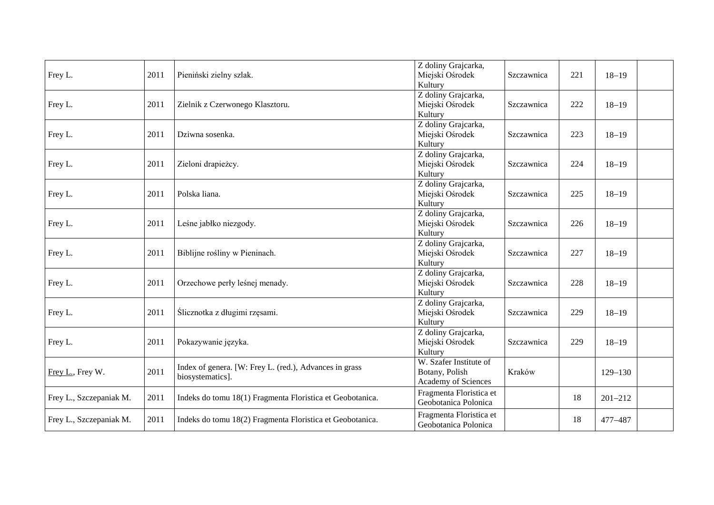| Frey L.                 | 2011 | Pieniński zielny szlak.                                                    | Z doliny Grajcarka,<br>Miejski Ośrodek<br>Kultury               | Szczawnica | 221 | $18 - 19$   |  |
|-------------------------|------|----------------------------------------------------------------------------|-----------------------------------------------------------------|------------|-----|-------------|--|
| Frey L.                 | 2011 | Zielnik z Czerwonego Klasztoru.                                            | Z doliny Grajcarka,<br>Miejski Ośrodek<br>Kultury               | Szczawnica | 222 | $18 - 19$   |  |
| Frey L.                 | 2011 | Dziwna sosenka.                                                            | Z doliny Grajcarka,<br>Miejski Ośrodek<br>Kultury               | Szczawnica | 223 | $18 - 19$   |  |
| Frey L.                 | 2011 | Zieloni drapieżcy.                                                         | Z doliny Grajcarka,<br>Miejski Ośrodek<br>Kultury               | Szczawnica | 224 | $18 - 19$   |  |
| Frey L.                 | 2011 | Polska liana.                                                              | Z doliny Grajcarka,<br>Miejski Ośrodek<br>Kultury               | Szczawnica | 225 | $18 - 19$   |  |
| Frey L.                 | 2011 | Leśne jabłko niezgody.                                                     | Z doliny Grajcarka,<br>Miejski Ośrodek<br>Kultury               | Szczawnica | 226 | $18 - 19$   |  |
| Frey L.                 | 2011 | Biblijne rośliny w Pieninach.                                              | Z doliny Grajcarka,<br>Miejski Ośrodek<br>Kultury               | Szczawnica | 227 | $18 - 19$   |  |
| Frey L.                 | 2011 | Orzechowe perły leśnej menady.                                             | Z doliny Grajcarka,<br>Miejski Ośrodek<br>Kultury               | Szczawnica | 228 | $18 - 19$   |  |
| Frey L.                 | 2011 | Ślicznotka z długimi rzęsami.                                              | Z doliny Grajcarka,<br>Miejski Ośrodek<br>Kultury               | Szczawnica | 229 | $18 - 19$   |  |
| Frey L.                 | 2011 | Pokazywanie języka.                                                        | Z doliny Grajcarka,<br>Miejski Ośrodek<br>Kultury               | Szczawnica | 229 | $18 - 19$   |  |
| Frey L., Frey W.        | 2011 | Index of genera. [W: Frey L. (red.), Advances in grass<br>biosystematics]. | W. Szafer Institute of<br>Botany, Polish<br>Academy of Sciences | Kraków     |     | $129 - 130$ |  |
| Frey L., Szczepaniak M. | 2011 | Indeks do tomu 18(1) Fragmenta Floristica et Geobotanica.                  | Fragmenta Floristica et<br>Geobotanica Polonica                 |            | 18  | $201 - 212$ |  |
| Frey L., Szczepaniak M. | 2011 | Indeks do tomu 18(2) Fragmenta Floristica et Geobotanica.                  | Fragmenta Floristica et<br>Geobotanica Polonica                 |            | 18  | 477-487     |  |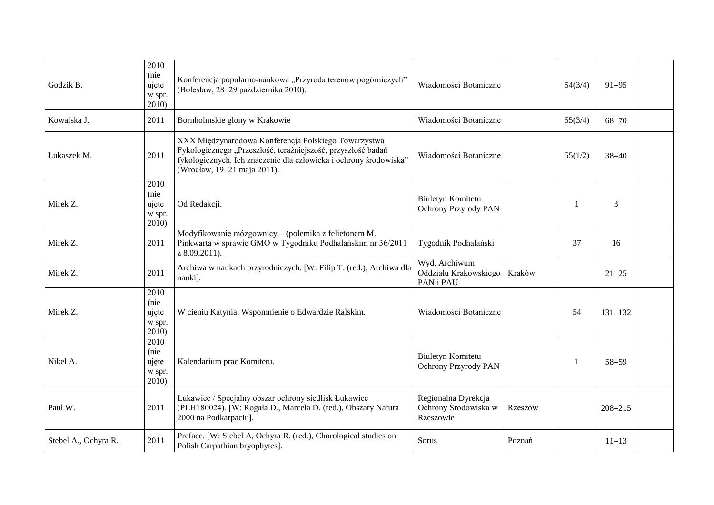| Godzik B.            | 2010<br>(nie<br>ujęte<br>w spr.<br>2010) | Konferencja popularno-naukowa "Przyroda terenów pogórniczych"<br>(Bolesław, 28-29 października 2010).                                                                                                                    | Wiadomości Botaniczne                                    |         | 54(3/4) | $91 - 95$   |  |
|----------------------|------------------------------------------|--------------------------------------------------------------------------------------------------------------------------------------------------------------------------------------------------------------------------|----------------------------------------------------------|---------|---------|-------------|--|
| Kowalska J.          | 2011                                     | Bornholmskie glony w Krakowie                                                                                                                                                                                            | Wiadomości Botaniczne                                    |         | 55(3/4) | $68 - 70$   |  |
| Łukaszek M.          | 2011                                     | XXX Międzynarodowa Konferencja Polskiego Towarzystwa<br>Fykologicznego "Przeszłość, teraźniejszość, przyszłość badań<br>fykologicznych. Ich znaczenie dla człowieka i ochrony środowiska"<br>(Wrocław, 19-21 maja 2011). | Wiadomości Botaniczne                                    |         | 55(1/2) | $38 - 40$   |  |
| Mirek Z.             | 2010<br>(nie<br>ujęte<br>w spr.<br>2010) | Od Redakcji.                                                                                                                                                                                                             | Biuletyn Komitetu<br>Ochrony Przyrody PAN                |         | -1      | 3           |  |
| Mirek Z.             | 2011                                     | Modyfikowanie mózgownicy – (polemika z felietonem M.<br>Pinkwarta w sprawie GMO w Tygodniku Podhalańskim nr 36/2011<br>z 8.09.2011).                                                                                     | Tygodnik Podhalański                                     |         | 37      | 16          |  |
| Mirek Z.             | 2011                                     | Archiwa w naukach przyrodniczych. [W: Filip T. (red.), Archiwa dla<br>nauki].                                                                                                                                            | Wyd. Archiwum<br>Oddziału Krakowskiego<br>PAN i PAU      | Kraków  |         | $21 - 25$   |  |
| Mirek Z.             | 2010<br>(nie<br>ujęte<br>w spr.<br>2010) | W cieniu Katynia. Wspomnienie o Edwardzie Ralskim.                                                                                                                                                                       | Wiadomości Botaniczne                                    |         | 54      | $131 - 132$ |  |
| Nikel A.             | 2010<br>(nie<br>ujęte<br>w spr.<br>2010) | Kalendarium prac Komitetu.                                                                                                                                                                                               | Biuletyn Komitetu<br>Ochrony Przyrody PAN                |         | -1      | $58 - 59$   |  |
| Paul W.              | 2011                                     | Łukawiec / Specjalny obszar ochrony siedlisk Łukawiec<br>(PLH180024). [W: Rogała D., Marcela D. (red.), Obszary Natura<br>2000 na Podkarpaciu].                                                                          | Regionalna Dyrekcja<br>Ochrony Środowiska w<br>Rzeszowie | Rzeszów |         | $208 - 215$ |  |
| Stebel A., Ochyra R. | 2011                                     | Preface. [W: Stebel A, Ochyra R. (red.), Chorological studies on<br>Polish Carpathian bryophytes].                                                                                                                       | Sorus                                                    | Poznań  |         | $11 - 13$   |  |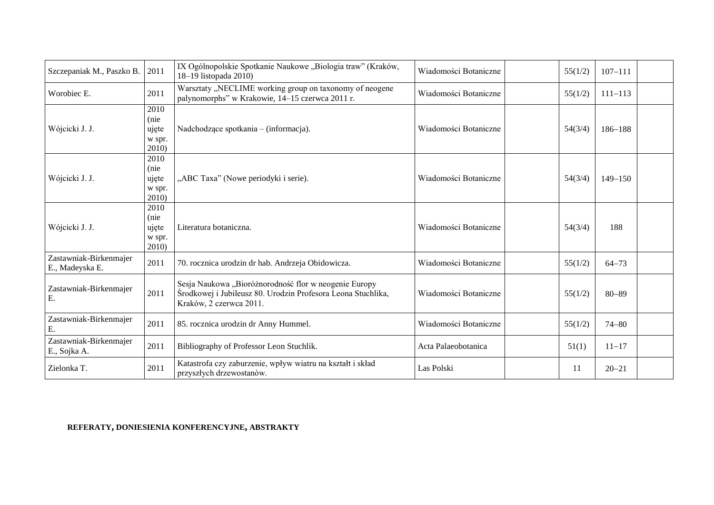| Szczepaniak M., Paszko B.                 | 2011                                     | IX Ogólnopolskie Spotkanie Naukowe "Biologia traw" (Kraków,<br>18-19 listopada 2010)                                                             | Wiadomości Botaniczne | 55(1/2) | $107 - 111$ |  |
|-------------------------------------------|------------------------------------------|--------------------------------------------------------------------------------------------------------------------------------------------------|-----------------------|---------|-------------|--|
| Worobiec E.                               | 2011                                     | Warsztaty "NECLIME working group on taxonomy of neogene<br>palynomorphs" w Krakowie, 14-15 czerwca 2011 r.                                       | Wiadomości Botaniczne | 55(1/2) | $111 - 113$ |  |
| Wójcicki J. J.                            | 2010<br>(nie<br>ujęte<br>w spr.<br>2010  | Nadchodzące spotkania – (informacja).                                                                                                            | Wiadomości Botaniczne | 54(3/4) | $186 - 188$ |  |
| Wójcicki J. J.                            | 2010<br>(nie<br>ujęte<br>w spr.<br>2010  | "ABC Taxa" (Nowe periodyki i serie).                                                                                                             | Wiadomości Botaniczne | 54(3/4) | $149 - 150$ |  |
| Wójcicki J. J.                            | 2010<br>(nie<br>ujęte<br>w spr.<br>2010) | Literatura botaniczna.                                                                                                                           | Wiadomości Botaniczne | 54(3/4) | 188         |  |
| Zastawniak-Birkenmajer<br>E., Madeyska E. | 2011                                     | 70. rocznica urodzin dr hab. Andrzeja Obidowicza.                                                                                                | Wiadomości Botaniczne | 55(1/2) | $64 - 73$   |  |
| Zastawniak-Birkenmajer<br>Ε.              | 2011                                     | Sesja Naukowa "Bioróżnorodność flor w neogenie Europy<br>Środkowej i Jubileusz 80. Urodzin Profesora Leona Stuchlika,<br>Kraków, 2 czerwca 2011. | Wiadomości Botaniczne | 55(1/2) | $80 - 89$   |  |
| Zastawniak-Birkenmajer<br>Ε.              | 2011                                     | 85. rocznica urodzin dr Anny Hummel.                                                                                                             | Wiadomości Botaniczne | 55(1/2) | $74 - 80$   |  |
| Zastawniak-Birkenmajer<br>E., Sojka A.    | 2011                                     | Bibliography of Professor Leon Stuchlik.                                                                                                         | Acta Palaeobotanica   | 51(1)   | $11 - 17$   |  |
| Zielonka T.                               | 2011                                     | Katastrofa czy zaburzenie, wpływ wiatru na kształt i skład<br>przyszłych drzewostanów.                                                           | Las Polski            | 11      | $20 - 21$   |  |

### **REFERATY, DONIESIENIA KONFERENCYJNE, ABSTRAKTY**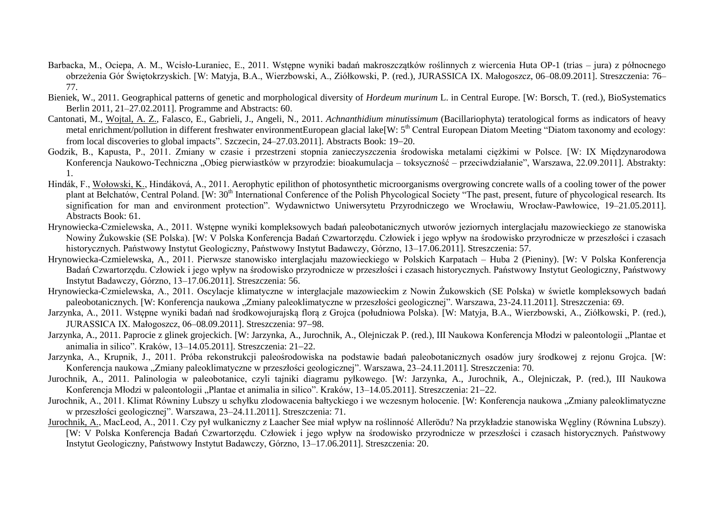- Barbacka, M., Ociepa, A. M., Wcisło-Luraniec, E., 2011. Wstępne wyniki badań makroszczątków roślinnych z wiercenia Huta OP-1 (trias jura) z północnego obrzeżenia Gór Świętokrzyskich. [W: Matyja, B.A., Wierzbowski, A., Ziółkowski, P. (red.), JURASSICA IX. Małogoszcz, 06–08.09.2011]. Streszczenia: 76– 77.
- Bieniek, W., 2011. Geographical patterns of genetic and morphological diversity of *Hordeum murinum* L. in Central Europe. [W: Borsch, T. (red.), BioSystematics Berlin 2011, 21–27.02.2011]. Programme and Abstracts: 60.
- Cantonati, M., Wojtal, A. Z., Falasco, E., Gabrieli, J., Angeli, N., 2011. *Achnanthidium minutissimum* (Bacillariophyta) teratological forms as indicators of heavy metal enrichment/pollution in different freshwater environmentEuropean glacial lake[W: 5<sup>th</sup> Central European Diatom Meeting "Diatom taxonomy and ecology: from local discoveries to global impacts". Szczecin, 24–27.03.2011]. Abstracts Book: 19–20.
- Godzik, B., Kapusta, P., 2011. Zmiany w czasie i przestrzeni stopnia zanieczyszczenia środowiska metalami ciężkimi w Polsce. [W: IX Międzynarodowa Konferencja Naukowo-Techniczna "Obieg pierwiastków w przyrodzie: bioakumulacja – toksyczność – przeciwdziałanie", Warszawa, 22.09.2011]. Abstrakty: 1.
- Hindák, F., Wołowski, K., Hindáková, A., 2011. Aerophytic epilithon of photosynthetic microorganisms overgrowing concrete walls of a cooling tower of the power plant at Bełchatów. Central Poland. [W: 30<sup>th</sup> International Conference of the Polish Phycological Society "The past, present, future of phycological research. Its signification for man and environment protection". Wydawnictwo Uniwersytetu Przyrodniczego we Wrocławiu, Wrocław-Pawłowice, 19–21.05.2011]. Abstracts Book: 61.
- Hrynowiecka-Czmielewska, A., 2011. Wstępne wyniki kompleksowych badań paleobotanicznych utworów jeziornych interglacjału mazowieckiego ze stanowiska Nowiny Żukowskie (SE Polska). [W: V Polska Konferencja Badań Czwartorzędu. Człowiek i jego wpływ na środowisko przyrodnicze w przeszłości i czasach historycznych. Państwowy Instytut Geologiczny, Państwowy Instytut Badawczy, Górzno, 13–17.06.2011]. Streszczenia: 57.
- Hrynowiecka-Czmielewska, A., 2011. Pierwsze stanowisko interglacjału mazowieckiego w Polskich Karpatach Huba 2 (Pieniny). [W: V Polska Konferencja Badań Czwartorzędu. Człowiek i jego wpływ na środowisko przyrodnicze w przeszłości i czasach historycznych. Państwowy Instytut Geologiczny, Państwowy Instytut Badawczy, Górzno, 13–17.06.2011]. Streszczenia: 56.
- Hrynowiecka-Czmielewska, A., 2011. Oscylacje klimatyczne w interglacjale mazowieckim z Nowin Żukowskich (SE Polska) w świetle kompleksowych badań paleobotanicznych. [W: Konferencja naukowa "Zmiany paleoklimatyczne w przeszłości geologicznej". Warszawa, 23-24.11.2011]. Streszczenia: 69.
- Jarzynka, A., 2011. Wstępne wyniki badań nad środkowojurajską florą z Grojca (południowa Polska). [W: Matyja, B.A., Wierzbowski, A., Ziółkowski, P. (red.), JURASSICA IX. Małogoszcz, 06-08.09.2011]. Streszczenia: 97-98.
- Jarzynka, A., 2011. Paprocie z glinek grojeckich. [W: Jarzynka, A., Jurochnik, A., Olejniczak P. (red.), III Naukowa Konferencja Młodzi w paleontologii "Plantae et animalia in silico". Kraków, 13-14.05.2011]. Streszczenia: 21-22.
- Jarzynka, A., Krupnik, J., 2011. Próba rekonstrukcji paleośrodowiska na podstawie badań paleobotanicznych osadów jury środkowej z rejonu Grojca. [W: Konferencia naukowa "Zmiany paleoklimatyczne w przeszłości geologicznej". Warszawa, 23–24.11.2011]. Streszczenia: 70.
- Jurochnik, A., 2011. Palinologia w paleobotanice, czyli tajniki diagramu pyłkowego. [W: Jarzynka, A., Jurochnik, A., Olejniczak, P. (red.), III Naukowa Konferencia Młodzi w paleontologii "Plantae et animalia in silico". Kraków, 13–14.05.2011]. Streszczenia: 21–22.
- Jurochnik, A., 2011. Klimat Równiny Lubszy u schyłku zlodowacenia bałtyckiego i we wczesnym holocenie. [W: Konferencja naukowa "Zmiany paleoklimatyczne w przeszłości geologicznej". Warszawa, 23–24.11.2011]. Streszczenia: 71.
- Jurochnik, A., MacLeod, A., 2011. Czy pył wulkaniczny z Laacher See miał wpływ na roślinność Allerödu? Na przykładzie stanowiska Węgliny (Równina Lubszy). [W: V Polska Konferencja Badań Czwartorzędu. Człowiek i jego wpływ na środowisko przyrodnicze w przeszłości i czasach historycznych. Państwowy Instytut Geologiczny, Państwowy Instytut Badawczy, Górzno, 13–17.06.2011]. Streszczenia: 20.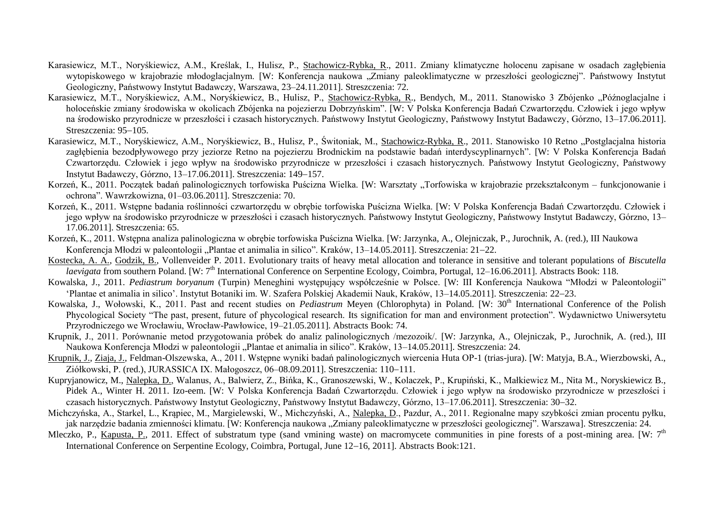- Karasiewicz, M.T., Noryśkiewicz, A.M., Kreślak, I., Hulisz, P., Stachowicz-Rybka, R., 2011. Zmiany klimatyczne holocenu zapisane w osadach zagłębienia wytopiskowego w krajobrazie młodoglacjalnym. [W: Konferencja naukowa "Zmiany paleoklimatyczne w przeszłości geologicznej". Państwowy Instytut Geologiczny, Państwowy Instytut Badawczy, Warszawa, 23–24.11.2011]. Streszczenia: 72.
- Karasiewicz, M.T., Noryśkiewicz, A.M., Noryśkiewicz, B., Hulisz, P., Stachowicz-Rybka, R., Bendych, M., 2011. Stanowisko 3 Zbójenko "Późnoglacjalne i holoceńskie zmiany środowiska w okolicach Zbójenka na pojezierzu Dobrzyńskim". [W: V Polska Konferencja Badań Czwartorzędu. Człowiek i jego wpływ na środowisko przyrodnicze w przeszłości i czasach historycznych. Państwowy Instytut Geologiczny, Państwowy Instytut Badawczy, Górzno, 13–17.06.2011]. Streszczenia: 95–105.
- Karasiewicz, M.T., Noryśkiewicz, A.M., Noryśkiewicz, B., Hulisz, P., Świtoniak, M., Stachowicz-Rybka, R., 2011. Stanowisko 10 Retno "Postglacjalna historia zagłębienia bezodpływowego przy jeziorze Retno na pojezierzu Brodnickim na podstawie badań interdyscyplinarnych". [W: V Polska Konferencja Badań Czwartorzędu. Człowiek i jego wpływ na środowisko przyrodnicze w przeszłości i czasach historycznych. Państwowy Instytut Geologiczny, Państwowy Instytut Badawczy, Górzno, 13–17.06.2011]. Streszczenia: 149–157.
- Korzeń, K., 2011. Początek badań palinologicznych torfowiska Puścizna Wielka. [W: Warsztaty "Torfowiska w krajobrazie przekształconym funkcjonowanie i ochrona". Wawrzkowizna, 01–03.06.2011]. Streszczenia: 70.
- Korzeń, K., 2011. Wstępne badania roślinności czwartorzędu w obrębie torfowiska Puścizna Wielka. [W: V Polska Konferencja Badań Czwartorzędu. Człowiek i jego wpływ na środowisko przyrodnicze w przeszłości i czasach historycznych. Państwowy Instytut Geologiczny, Państwowy Instytut Badawczy, Górzno, 13– 17.06.2011]. Streszczenia: 65.
- Korzeń, K., 2011. Wstępna analiza palinologiczna w obrębie torfowiska Puścizna Wielka. [W: Jarzynka, A., Olejniczak, P., Jurochnik, A. (red.), III Naukowa Konferencja Młodzi w paleontologii "Plantae et animalia in silico". Kraków, 13–14.05.2011]. Streszczenia: 21–22.
- Kostecka, A. A., Godzik, B., Vollenveider P. 2011. Evolutionary traits of heavy metal allocation and tolerance in sensitive and tolerant populations of *Biscutella laevigata* from southern Poland. [W: 7<sup>th</sup> International Conference on Serpentine Ecology, Coimbra, Portugal, 12–16.06.2011]. Abstracts Book: 118.
- Kowalska, J., 2011. *Pediastrum boryanum* (Turpin) Meneghini występujący współcześnie w Polsce. [W: III Konferencja Naukowa "Młodzi w Paleontologii" 'Plantae et animalia in silico'. Instytut Botaniki im. W. Szafera Polskiej Akademii Nauk, Kraków, 13–14.05.2011]. Streszczenia: 2223.
- Kowalska, J., Wołowski, K., 2011. Past and recent studies on *Pediastrum* Meyen (Chlorophyta) in Poland. [W: 30<sup>th</sup> International Conference of the Polish Phycological Society "The past, present, future of phycological research. Its signification for man and environment protection". Wydawnictwo Uniwersytetu Przyrodniczego we Wrocławiu, Wrocław-Pawłowice, 19–21.05.2011]. Abstracts Book: 74.
- Krupnik, J., 2011. Porównanie metod przygotowania próbek do analiz palinologicznych /mezozoik/. [W: Jarzynka, A., Olejniczak, P., Jurochnik, A. (red.), III Naukowa Konferencja Młodzi w paleontologii "Plantae et animalia in silico". Kraków, 13–14.05.2011]. Streszczenia: 24.
- Krupnik, J., Ziaja, J., Feldman-Olszewska, A., 2011. Wstępne wyniki badań palinologicznych wiercenia Huta OP-1 (trias-jura). [W: Matyja, B.A., Wierzbowski, A., Ziółkowski, P. (red.), JURASSICA IX. Małogoszcz, 06–08.09.2011]. Streszczenia: 110–111.
- Kupryjanowicz, M., Nalepka, D., Walanus, A., Balwierz, Z., Bińka, K., Granoszewski, W., Kolaczek, P., Krupiński, K., Małkiewicz M., Nita M., Noryskiewicz B., Pidek A., Winter H. 2011. Izo-eem. [W: V Polska Konferencja Badań Czwartorzędu. Człowiek i jego wpływ na środowisko przyrodnicze w przeszłości i czasach historycznych. Państwowy Instytut Geologiczny, Państwowy Instytut Badawczy, Górzno, 13–17.06.2011]. Streszczenia: 30–32.
- Michczyńska, A., Starkel, L., Krąpiec, M., Margielewski, W., Michczyński, A., Nalepka, D., Pazdur, A., 2011. Regionalne mapy szybkości zmian procentu pyłku, jak narzędzie badania zmienności klimatu. [W: Konferencja naukowa "Zmiany paleoklimatyczne w przeszłości geologicznej". Warszawa]. Streszczenia: 24.
- Mleczko, P., Kapusta, P., 2011. Effect of substratum type (sand vmining waste) on macromycete communities in pine forests of a post-mining area. [W:  $7<sup>th</sup>$ International Conference on Serpentine Ecology, Coimbra, Portugal, June 12–16, 2011]. Abstracts Book:121.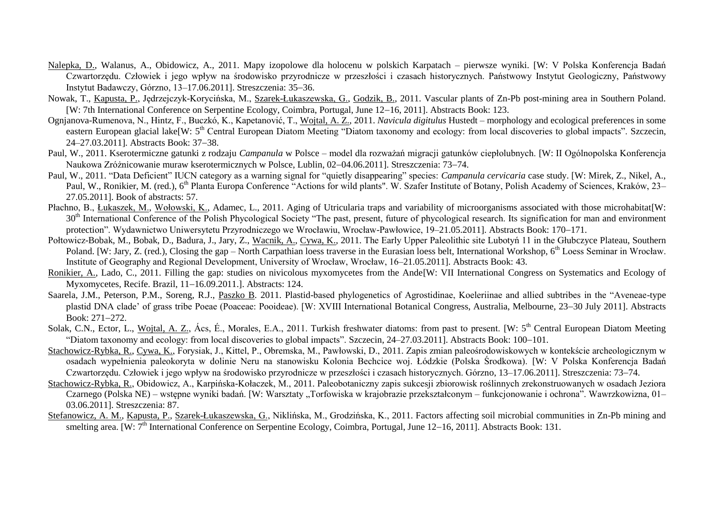- Nalepka, D., Walanus, A., Obidowicz, A., 2011. Mapy izopolowe dla holocenu w polskich Karpatach pierwsze wyniki. [W: V Polska Konferencja Badań Czwartorzędu. Człowiek i jego wpływ na środowisko przyrodnicze w przeszłości i czasach historycznych. Państwowy Instytut Geologiczny, Państwowy Instytut Badawczy, Górzno, 13-17.06.2011]. Streszczenia: 35-36.
- Nowak, T., Kapusta, P., Jędrzejczyk-Korycińska, M., Szarek-Łukaszewska, G., Godzik, B., 2011. Vascular plants of Zn-Pb post-mining area in Southern Poland. [W: 7th International Conference on Serpentine Ecology, Coimbra, Portugal, June 12–16, 2011]. Abstracts Book: 123.
- Ognjanova-Rumenova, N., Hintz, F., Buczkó, K., Kapetanović, T., Wojtal, A. Z., 2011. *Navicula digitulus* Hustedt morphology and ecological preferences in some eastern European glacial lake[W: 5<sup>th</sup> Central European Diatom Meeting "Diatom taxonomy and ecology: from local discoveries to global impacts". Szczecin, 24–27.03.2011]. Abstracts Book: 37–38.
- Paul, W., 2011. Kserotermiczne gatunki z rodzaju *Campanula* w Polsce model dla rozważań migracji gatunków ciepłolubnych. [W: II Ogólnopolska Konferencja Naukowa Zróżnicowanie muraw kserotermicznych w Polsce, Lublin, 02–04.06.2011]. Streszczenia: 73–74.
- Paul, W., 2011. "Data Deficient" IUCN category as a warning signal for "quietly disappearing" species: *Campanula cervicaria* case study. [W: Mirek, Z., Nikel, A., Paul, W., Ronikier, M. (red.), 6<sup>th</sup> Planta Europa Conference "Actions for wild plants". W. Szafer Institute of Botany, Polish Academy of Sciences, Kraków, 23– 27.05.2011]. Book of abstracts: 57.
- Płachno, B., Łukaszek, M., Wołowski, K., Adamec, L., 2011. Aging of Utricularia traps and variability of microorganisms associated with those microhabitat[W: 30<sup>th</sup> International Conference of the Polish Phycological Society "The past, present, future of phycological research. Its signification for man and environment protection". Wydawnictwo Uniwersytetu Przyrodniczego we Wrocławiu, Wrocław-Pawłowice, 19–21.05.2011]. Abstracts Book: 170–171.
- Połtowicz-Bobak, M., Bobak, D., Badura, J., Jary, Z., Wacnik, A., Cywa, K., 2011. The Early Upper Paleolithic site Lubotyń 11 in the Głubczyce Plateau, Southern Poland. [W: Jary, Z. (red.), Closing the gap – North Carpathian loess traverse in the Eurasian loess belt, International Workshop, 6<sup>th</sup> Loess Seminar in Wrocław. Institute of Geography and Regional Development, University of Wrocław, Wrocław, 16–21.05.2011]. Abstracts Book: 43.
- Ronikier, A., Lado, C., 2011. Filling the gap: studies on nivicolous myxomycetes from the Ande[W: VII International Congress on Systematics and Ecology of Myxomycetes, Recife. Brazil, 11-16.09.2011.]. Abstracts: 124.
- Saarela, J.M., Peterson, P.M., Soreng, R.J., Paszko B. 2011. Plastid-based phylogenetics of Agrostidinae, Koeleriinae and allied subtribes in the "Aveneae-type plastid DNA clade' of grass tribe Poeae (Poaceae: Pooideae). [W: XVIII International Botanical Congress, Australia, Melbourne, 23–30 July 2011]. Abstracts Book:  $271 - 272$ .
- Solak, C.N., Ector, L., Wojtal, A. Z., Ács, É., Morales, E.A., 2011. Turkish freshwater diatoms: from past to present. [W: 5<sup>th</sup> Central European Diatom Meeting "Diatom taxonomy and ecology: from local discoveries to global impacts". Szczecin, 24–27.03.2011]. Abstracts Book: 100–101.
- Stachowicz-Rybka, R., Cywa, K., Forysiak, J., Kittel, P., Obremska, M., Pawłowski, D., 2011. Zapis zmian paleośrodowiskowych w kontekście archeologicznym w osadach wypełnienia paleokoryta w dolinie Neru na stanowisku Kolonia Bechcice woj. Łódzkie (Polska Środkowa). [W: V Polska Konferencja Badań Czwartorzędu. Człowiek i jego wpływ na środowisko przyrodnicze w przeszłości i czasach historycznych. Górzno, 13–17.06.2011]. Streszczenia: 7374.
- Stachowicz-Rybka, R., Obidowicz, A., Karpińska-Kołaczek, M., 2011. Paleobotaniczny zapis sukcesji zbiorowisk roślinnych zrekonstruowanych w osadach Jeziora Czarnego (Polska NE) – wstępne wyniki badań. [W: Warsztaty "Torfowiska w krajobrazie przekształconym – funkcjonowanie i ochrona". Wawrzkowizna, 01– 03.06.2011]. Streszczenia: 87.
- Stefanowicz, A. M., Kapusta, P., Szarek-Łukaszewska, G., Niklińska, M., Grodzińska, K., 2011. Factors affecting soil microbial communities in Zn-Pb mining and smelting area. [W: 7<sup>th</sup> International Conference on Serpentine Ecology, Coimbra, Portugal, June 12–16, 2011]. Abstracts Book: 131.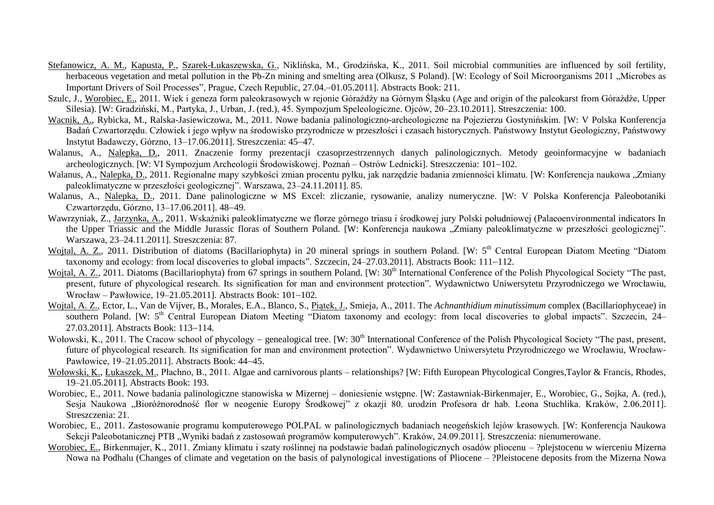- Stefanowicz, A. M., Kapusta, P., Szarek-Łukaszewska, G., Niklińska, M., Grodzińska, K., 2011. Soil microbial communities are influenced by soil fertility, herbaceous vegetation and metal pollution in the Pb-Zn mining and smelting area (Olkusz, S Poland). [W: Ecology of Soil Microorganisms 2011 "Microbes as Important Drivers of Soil Processes", Prague, Czech Republic, 27.04.–01.05.2011]. Abstracts Book: 211.
- Szulc, J., Worobiec, E., 2011. Wiek i geneza form paleokrasowych w rejonie Górażdży na Górnym Śląsku (Age and origin of the paleokarst from Górażdże, Upper Silesia). [W: Gradziński, M., Partyka, J., Urban, J. (red.), 45. Sympozjum Speleologiczne. Ojców, 20–23.10.2011]. Streszczenia: 100.
- Wacnik, A., Rybicka, M., Ralska-Jasiewiczowa, M., 2011. Nowe badania palinologiczno-archeologiczne na Pojezierzu Gostynińskim. [W: V Polska Konferencja Badań Czwartorzędu. Człowiek i jego wpływ na środowisko przyrodnicze w przeszłości i czasach historycznych. Państwowy Instytut Geologiczny, Państwowy Instytut Badawczy, Górzno, 13–17.06.2011]. Streszczenia: 4547.
- Walanus, A., Nalepka, D., 2011. Znaczenie formy prezentacji czasoprzestrzennych danych palinologicznych. Metody geoinformacyjne w badaniach archeologicznych. [W: VI Sympozjum Archeologii Środowiskowej. Poznań – Ostrów Lednicki]. Streszczenia: 101–102.
- Walanus, A., Nalepka, D., 2011. Regionalne mapy szybkości zmian procentu pyłku, jak narzędzie badania zmienności klimatu. [W: Konferencja naukowa "Zmiany paleoklimatyczne w przeszłości geologicznej". Warszawa, 23–24.11.2011]. 85.
- Walanus, A., Nalepka, D., 2011. Dane palinologiczne w MS Excel: zliczanie, rysowanie, analizy numeryczne. [W: V Polska Konferencja Paleobotaniki Czwartorzedu, Górzno, 13-17.06.2011], 48-49.
- Wawrzyniak, Z., Jarzynka, A., 2011. Wskażniki paleoklimatyczne we florze górnego triasu i środkowej jury Polski południowej (Palaeoenvironmental indicators In the Upper Triassic and the Middle Jurassic floras of Southern Poland. [W: Konferencja naukowa "Zmiany paleoklimatyczne w przeszłości geologicznej". Warszawa, 23–24.11.2011]. Streszczenia: 87.
- Wojtal, A. Z., 2011. Distribution of diatoms (Bacillariophyta) in 20 mineral springs in southern Poland. [W: 5<sup>th</sup> Central European Diatom Meeting "Diatom taxonomy and ecology: from local discoveries to global impacts". Szczecin,  $24-27.03.2011$ ]. Abstracts Book:  $111-112$ .
- Wojtal, A. Z., 2011. Diatoms (Bacillariophyta) from 67 springs in southern Poland. [W: 30<sup>th</sup> International Conference of the Polish Phycological Society "The past, present, future of phycological research. Its signification for man and environment protection". Wydawnictwo Uniwersytetu Przyrodniczego we Wrocławiu, Wrocław – Pawłowice, 19–21.05.2011]. Abstracts Book: 101–102.
- Wojtal, A. Z., Ector, L., Van de Vijver, B., Morales, E.A., Blanco, S., Piątek, J., Smieja, A., 2011. The *Achnanthidium minutissimum* complex (Bacillariophyceae) in southern Poland. [W: 5<sup>th</sup> Central European Diatom Meeting "Diatom taxonomy and ecology: from local discoveries to global impacts". Szczecin, 24– 27.03.2011]. Abstracts Book: 113-114.
- Wołowski, K., 2011. The Cracow school of phycology genealogical tree.  $IW: 30<sup>th</sup>$  International Conference of the Polish Phycological Society "The past, present, future of phycological research. Its signification for man and environment protection". Wydawnictwo Uniwersytetu Przyrodniczego we Wrocławiu, Wrocław-Pawłowice, 19–21.05.2011]. Abstracts Book: 44–45.
- Wołowski, K., Łukaszek, M., Płachno, B., 2011. Algae and carnivorous plants relationships? [W: Fifth European Phycological Congres,Taylor & Francis, Rhodes, 19–21.05.2011]. Abstracts Book: 193.
- Worobiec, E., 2011. Nowe badania palinologiczne stanowiska w Mizernej doniesienie wstępne. [W: Zastawniak-Birkenmajer, E., Worobiec, G., Sojka, A. (red.), Sesia Naukowa "Bioróżnorodność flor w neogenie Europy Środkowej" z okazii 80. urodzin Profesora dr hab. Leona Stuchlika, Kraków, 2.06.2011]. Streszczenia: 21.
- Worobiec, E., 2011. Zastosowanie programu komputerowego POLPAL w palinologicznych badaniach neogeńskich lejów krasowych. [W: Konferencja Naukowa Sekcji Paleobotanicznej PTB "Wyniki badań z zastosowań programów komputerowych". Kraków, 24.09.2011]. Streszczenia: nienumerowane.
- Worobiec, E., Birkenmajer, K., 2011. Zmiany klimatu i szaty roślinnej na podstawie badań palinologicznych osadów pliocenu ?plejstocenu w wierceniu Mizerna Nowa na Podhalu (Changes of climate and vegetation on the basis of palynological investigations of Pliocene – ?Pleistocene deposits from the Mizerna Nowa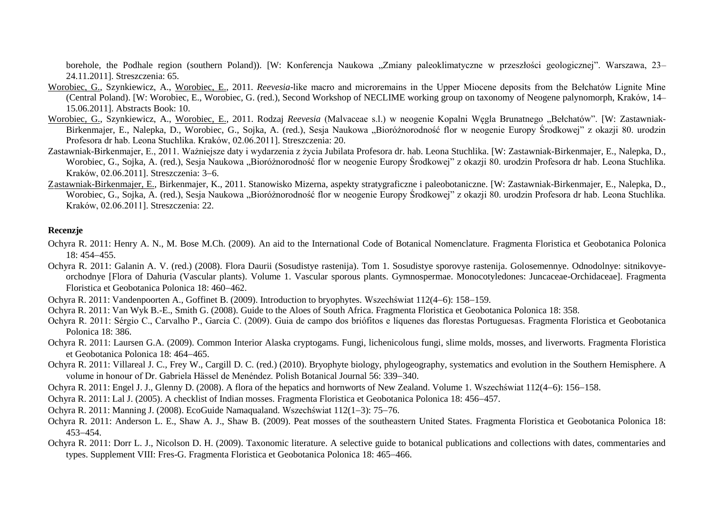borehole, the Podhale region (southern Poland)). [W: Konferencja Naukowa "Zmiany paleoklimatyczne w przeszłości geologicznej". Warszawa, 23– 24.11.2011]. Streszczenia: 65.

- Worobiec, G., Szynkiewicz, A., Worobiec, E., 2011. *Reevesia*-like macro and microremains in the Upper Miocene deposits from the Bełchatów Lignite Mine (Central Poland). [W: Worobiec, E., Worobiec, G. (red.), Second Workshop of NECLIME working group on taxonomy of Neogene palynomorph, Kraków, 14– 15.06.2011]. Abstracts Book: 10.
- Worobiec, G., Szynkiewicz, A., Worobiec, E., 2011. Rodzaj *Reevesia* (Malvaceae s.l.) w neogenie Kopalni Węgla Brunatnego "Bełchatów". [W: Zastawniak-Birkenmajer, E., Nalepka, D., Worobiec, G., Sojka, A. (red.), Sesja Naukowa "Bioróżnorodność flor w neogenie Europy Środkowej" z okazji 80. urodzin Profesora dr hab. Leona Stuchlika. Kraków, 02.06.2011]. Streszczenia: 20.
- Zastawniak-Birkenmajer, E., 2011. Ważniejsze daty i wydarzenia z życia Jubilata Profesora dr. hab. Leona Stuchlika. [W: Zastawniak-Birkenmajer, E., Nalepka, D., Worobiec, G., Sojka, A. (red.), Sesja Naukowa "Bioróżnorodność flor w neogenie Europy Środkowej" z okazji 80. urodzin Profesora dr hab. Leona Stuchlika. Kraków, 02.06.2011]. Streszczenia: 3-6.
- Zastawniak-Birkenmajer, E., Birkenmajer, K., 2011. Stanowisko Mizerna, aspekty stratygraficzne i paleobotaniczne. [W: Zastawniak-Birkenmajer, E., Nalepka, D., Worobiec, G., Sojka, A. (red.), Sesja Naukowa "Bioróżnorodność flor w neogenie Europy Środkowej" z okazji 80. urodzin Profesora dr hab. Leona Stuchlika. Kraków, 02.06.2011]. Streszczenia: 22.

#### **Recenzje**

- Ochyra R. 2011: Henry A. N., M. Bose M.Ch. (2009). An aid to the International Code of Botanical Nomenclature. Fragmenta Floristica et Geobotanica Polonica  $18: 454 - 455$ .
- Ochyra R. 2011: Galanin A. V. (red.) (2008). Flora Daurii (Sosudistye rastenija). Tom 1. Sosudistye sporovye rastenija. Golosemennye. Odnodolnye: sitnikovyeorchodnye [Flora of Dahuria (Vascular plants). Volume 1. Vascular sporous plants. Gymnospermae. Monocotyledones: Juncaceae-Orchidaceae]. Fragmenta Floristica et Geobotanica Polonica 18: 460-462.
- Ochyra R. 2011: Vandenpoorten A., Goffinet B. (2009). Introduction to bryophytes. Wszechświat 112(4–6): 158–159.
- Ochyra R. 2011: Van Wyk B.-E., Smith G. (2008). Guide to the Aloes of South Africa. Fragmenta Floristica et Geobotanica Polonica 18: 358.
- Ochyra R. 2011: Sérgio C., Carvalho P., Garcia C. (2009). Guia de campo dos briófitos e líquenes das florestas Portuguesas. Fragmenta Floristica et Geobotanica Polonica 18: 386.
- Ochyra R. 2011: Laursen G.A. (2009). Common Interior Alaska cryptogams. Fungi, lichenicolous fungi, slime molds, mosses, and liverworts. Fragmenta Floristica et Geobotanica Polonica 18: 464-465.
- Ochyra R. 2011: Villareal J. C., Frey W., Cargill D. C. (red.) (2010). Bryophyte biology, phylogeography, systematics and evolution in the Southern Hemisphere. A volume in honour of Dr. Gabriela Hässel de Menéndez. Polish Botanical Journal 56: 339–340.
- Ochyra R. 2011: Engel J. J., Glenny D. (2008). A flora of the hepatics and hornworts of New Zealand. Volume 1. Wszechświat 112(4–6): 156–158.
- Ochyra R. 2011: Lal J. (2005). A checklist of Indian mosses. Fragmenta Floristica et Geobotanica Polonica 18: 456–457.
- Ochyra R. 2011: Manning J. (2008). EcoGuide Namagualand. Wszechświat  $112(1-3)$ : 75–76.
- Ochyra R. 2011: Anderson L. E., Shaw A. J., Shaw B. (2009). Peat mosses of the southeastern United States. Fragmenta Floristica et Geobotanica Polonica 18: 453-454
- Ochyra R. 2011: Dorr L. J., Nicolson D. H. (2009). Taxonomic literature. A selective guide to botanical publications and collections with dates, commentaries and types. Supplement VIII: Fres-G. Fragmenta Floristica et Geobotanica Polonica 18: 465–466.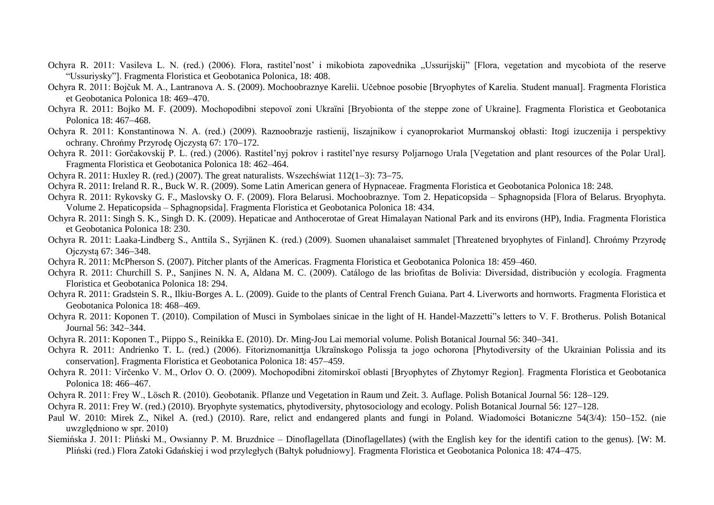- Ochyra R. 2011: Vasileva L. N. (red.) (2006). Flora, rastitel'nost' i mikobiota zapovednika "Ussurijskij" [Flora, vegetation and mycobiota of the reserve "Ussuriysky"]. Fragmenta Floristica et Geobotanica Polonica, 18: 408.
- Ochyra R. 2011: Bojčuk M. A., Lantranova A. S. (2009). Mochoobraznye Karelii. Učebnoe posobie [Bryophytes of Karelia. Student manual]. Fragmenta Floristica et Geobotanica Polonica 18: 469–470.
- Ochyra R. 2011: Bojko M. F. (2009). Mochopodibni stepovoï zoni Ukraïni [Bryobionta of the steppe zone of Ukraine]. Fragmenta Floristica et Geobotanica Polonica 18: 467–468.
- Ochyra R. 2011: Konstantinowa N. A. (red.) (2009). Raznoobrazje rastienij, liszajnikow i cyanoprokariot Murmanskoj obłasti: Itogi izuczenija i perspektivy ochrany. Chrońmy Przyrodę Ojczystą 67: 170–172.
- Ochyra R. 2011: Gorčakovskij P. L. (red.) (2006). Rastitel'nyj pokrov i rastitel'nye resursy Poljarnogo Urala [Vegetation and plant resources of the Polar Ural]. Fragmenta Floristica et Geobotanica Polonica 18: 462–464.
- Ochyra R. 2011: Huxley R. (red.) (2007). The great naturalists. Wszechświat  $112(1-3)$ : 73–75.
- Ochyra R. 2011: Ireland R. R., Buck W. R. (2009). Some Latin American genera of Hypnaceae. Fragmenta Floristica et Geobotanica Polonica 18: 248.
- Ochyra R. 2011: Rykovsky G. F., Maslovsky O. F. (2009). Flora Belarusi. Mochoobraznye. Tom 2. Hepaticopsida Sphagnopsida [Flora of Belarus. Bryophyta. Volume 2. Hepaticopsida – Sphagnopsida]. Fragmenta Floristica et Geobotanica Polonica 18: 434.
- Ochyra R. 2011: Singh S. K., Singh D. K. (2009). Hepaticae and Anthocerotae of Great Himalayan National Park and its environs (HP), India. Fragmenta Floristica et Geobotanica Polonica 18: 230.
- Ochyra R. 2011: Laaka-Lindberg S., Anttila S., Syrjänen K. (red.) (2009). Suomen uhanalaiset sammalet [Threatened bryophytes of Finland]. Chrońmy Przyrodę Oiczysta 67: 346–348.
- Ochyra R. 2011: McPherson S. (2007). Pitcher plants of the Americas. Fragmenta Floristica et Geobotanica Polonica 18: 459–460.
- Ochyra R. 2011: Churchill S. P., Sanjines N. N. A, Aldana M. C. (2009). Catálogo de las briofitas de Bolivia: Diversidad, distribución y ecología. Fragmenta Floristica et Geobotanica Polonica 18: 294.
- Ochyra R. 2011: Gradstein S. R., Ilkiu-Borges A. L. (2009). Guide to the plants of Central French Guiana. Part 4. Liverworts and hornworts. Fragmenta Floristica et Geobotanica Polonica 18: 468–469.
- Ochyra R. 2011: Koponen T. (2010). Compilation of Musci in Symbolaes sinicae in the light of H. Handel-Mazzetti"s letters to V. F. Brotherus. Polish Botanical Journal 56: 342-344.
- Ochyra R. 2011: Koponen T., Piippo S., Reinikka E. (2010). Dr. Ming-Jou Lai memorial volume. Polish Botanical Journal 56: 340341.
- Ochyra R. 2011: Andrienko T. L. (red.) (2006). Fitoriznomanittja Ukraïnskogo Polissja ta jogo ochorona [Phytodiversity of the Ukrainian Polissia and its conservation]. Fragmenta Floristica et Geobotanica Polonica 18: 457–459.
- Ochyra R. 2011: Virčenko V. M., Orlov O. O. (2009). Mochopodibni żitomirskoï oblasti [Bryophytes of Zhytomyr Region]. Fragmenta Floristica et Geobotanica Polonica 18: 466–467.
- Ochyra R. 2011: Frey W., Lösch R. (2010). Geobotanik. Pflanze und Vegetation in Raum und Zeit. 3. Auflage. Polish Botanical Journal 56: 128–129.
- Ochyra R. 2011: Frey W. (red.) (2010). Bryophyte systematics, phytodiversity, phytosociology and ecology. Polish Botanical Journal 56: 127–128.
- Paul W. 2010: Mirek Z., Nikel A. (red.) (2010). Rare, relict and endangered plants and fungi in Poland. Wiadomości Botaniczne 54(3/4): 150–152. (nie uwzględniono w spr. 2010)
- Siemińska J. 2011: Pliński M., Owsianny P. M. Bruzdnice Dinoflagellata (Dinoflagellates) (with the English key for the identifi cation to the genus). [W: M. Pliński (red.) Flora Zatoki Gdańskiej i wod przyległych (Bałtyk południowy]. Fragmenta Floristica et Geobotanica Polonica 18: 474–475.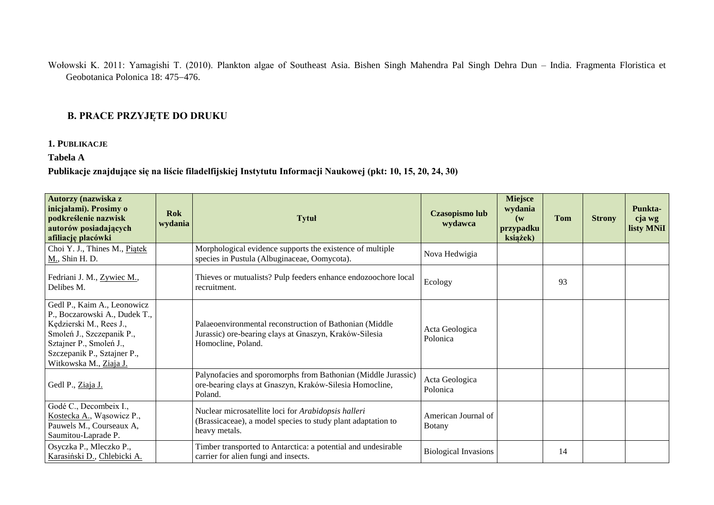Wołowski K. 2011: Yamagishi T. (2010). Plankton algae of Southeast Asia. Bishen Singh Mahendra Pal Singh Dehra Dun – India. Fragmenta Floristica et Geobotanica Polonica 18: 475-476.

## **B. PRACE PRZYJĘTE DO DRUKU**

### **1. PUBLIKACJE**

## **Tabela A**

### **Publikacje znajdujące się na liście filadelfijskiej Instytutu Informacji Naukowej (pkt: 10, 15, 20, 24, 30)**

| Autorzy (nazwiska z<br>inicjałami). Prosimy o<br>podkreślenie nazwisk<br>autorów posiadających<br>afiliację placówki                                                                                     | <b>Rok</b><br>wydania | <b>Tytuł</b>                                                                                                                            | Czasopismo lub<br>wydawca     | <b>Miejsce</b><br>wydania<br>$(\mathbf{w})$<br>przypadku<br>książek) | Tom | <b>Strony</b> | Punkta-<br>cja wg<br>listy MNiI |
|----------------------------------------------------------------------------------------------------------------------------------------------------------------------------------------------------------|-----------------------|-----------------------------------------------------------------------------------------------------------------------------------------|-------------------------------|----------------------------------------------------------------------|-----|---------------|---------------------------------|
| Choi Y. J., Thines M., Piątek<br>M., Shin H. D.                                                                                                                                                          |                       | Morphological evidence supports the existence of multiple<br>species in Pustula (Albuginaceae, Oomycota).                               | Nova Hedwigia                 |                                                                      |     |               |                                 |
| Fedriani J. M., Zywiec M.,<br>Delibes M.                                                                                                                                                                 |                       | Thieves or mutualists? Pulp feeders enhance endozoochore local<br>recruitment.                                                          | Ecology                       |                                                                      | 93  |               |                                 |
| Gedl P., Kaim A., Leonowicz<br>P., Boczarowski A., Dudek T.,<br>Kędzierski M., Rees J.,<br>Smoleń J., Szczepanik P.,<br>Sztajner P., Smoleń J.,<br>Szczepanik P., Sztajner P.,<br>Witkowska M., Ziaja J. |                       | Palaeoenvironmental reconstruction of Bathonian (Middle<br>Jurassic) ore-bearing clays at Gnaszyn, Kraków-Silesia<br>Homocline, Poland. | Acta Geologica<br>Polonica    |                                                                      |     |               |                                 |
| Gedl P., Ziaja J.                                                                                                                                                                                        |                       | Palynofacies and sporomorphs from Bathonian (Middle Jurassic)<br>ore-bearing clays at Gnaszyn, Kraków-Silesia Homocline,<br>Poland.     | Acta Geologica<br>Polonica    |                                                                      |     |               |                                 |
| Godé C., Decombeix I.,<br>Kostecka A., Wąsowicz P.,<br>Pauwels M., Courseaux A,<br>Saumitou-Laprade P.                                                                                                   |                       | Nuclear microsatellite loci for Arabidopsis halleri<br>(Brassicaceae), a model species to study plant adaptation to<br>heavy metals.    | American Journal of<br>Botany |                                                                      |     |               |                                 |
| Osyczka P., Mleczko P.,<br>Karasiński D., Chlebicki A.                                                                                                                                                   |                       | Timber transported to Antarctica: a potential and undesirable<br>carrier for alien fungi and insects.                                   | <b>Biological Invasions</b>   |                                                                      | 14  |               |                                 |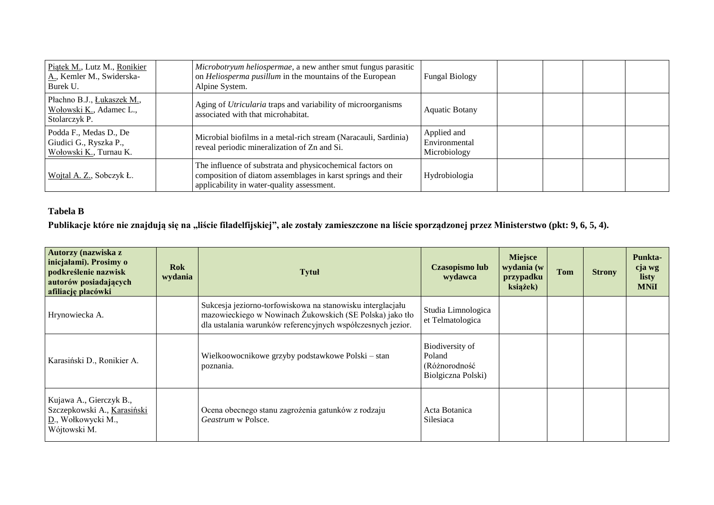| Piątek M., Lutz M., Ronikier<br>A., Kemler M., Swiderska-<br>Burek U.      | Microbotryum heliospermae, a new anther smut fungus parasitic<br>on Heliosperma pusillum in the mountains of the European<br>Alpine System.                             | <b>Fungal Biology</b>                        |  |  |
|----------------------------------------------------------------------------|-------------------------------------------------------------------------------------------------------------------------------------------------------------------------|----------------------------------------------|--|--|
| Płachno B.J., Łukaszek M.,<br>Wołowski K., Adamec L.,<br>Stolarczyk P.     | Aging of Utricularia traps and variability of microorganisms<br>associated with that microhabitat.                                                                      | <b>Aquatic Botany</b>                        |  |  |
| Podda F., Medas D., De<br>Giudici G., Ryszka P.,<br>Wołowski K., Turnau K. | Microbial biofilms in a metal-rich stream (Naracauli, Sardinia)<br>reveal periodic mineralization of Zn and Si.                                                         | Applied and<br>Environmental<br>Microbiology |  |  |
| Wojtal A. Z., Sobczyk Ł.                                                   | The influence of substrata and physicochemical factors on<br>composition of diatom assemblages in karst springs and their<br>applicability in water-quality assessment. | Hydrobiologia                                |  |  |

# **Tabela B**

Publikacje które nie znajdują się na "liście filadelfijskiej", ale zostały zamieszczone na liście sporządzonej przez Ministerstwo (pkt: 9, 6, 5, 4).

| Autorzy (nazwiska z<br>inicjałami). Prosimy o<br>podkreślenie nazwisk<br>autorów posiadających<br>afiliację placówki | <b>Rok</b><br>wydania | <b>Tytuł</b>                                                                                                                                                                          | <b>Czasopismo lub</b><br>wydawca                                 | Miejsce<br>wydania (w<br>przypadku<br>książek) | <b>Tom</b> | <b>Strony</b> | Punkta-<br>cja wg<br>listy<br><b>MNiI</b> |
|----------------------------------------------------------------------------------------------------------------------|-----------------------|---------------------------------------------------------------------------------------------------------------------------------------------------------------------------------------|------------------------------------------------------------------|------------------------------------------------|------------|---------------|-------------------------------------------|
| Hrynowiecka A.                                                                                                       |                       | Sukcesja jeziorno-torfowiskowa na stanowisku interglacjału<br>mazowieckiego w Nowinach Żukowskich (SE Polska) jako tło<br>dla ustalania warunków referencyjnych współczesnych jezior. | Studia Limnologica<br>et Telmatologica                           |                                                |            |               |                                           |
| Karasiński D., Ronikier A.                                                                                           |                       | Wielkoowocnikowe grzyby podstawkowe Polski – stan<br>poznania.                                                                                                                        | Biodiversity of<br>Poland<br>(Różnorodność<br>Biolgiczna Polski) |                                                |            |               |                                           |
| Kujawa A., Gierczyk B.,<br>Szczepkowski A., Karasiński<br>D., Wołkowycki M.,<br>Wójtowski M.                         |                       | Ocena obecnego stanu zagrożenia gatunków z rodzaju<br>Geastrum w Polsce.                                                                                                              | Acta Botanica<br>Silesiaca                                       |                                                |            |               |                                           |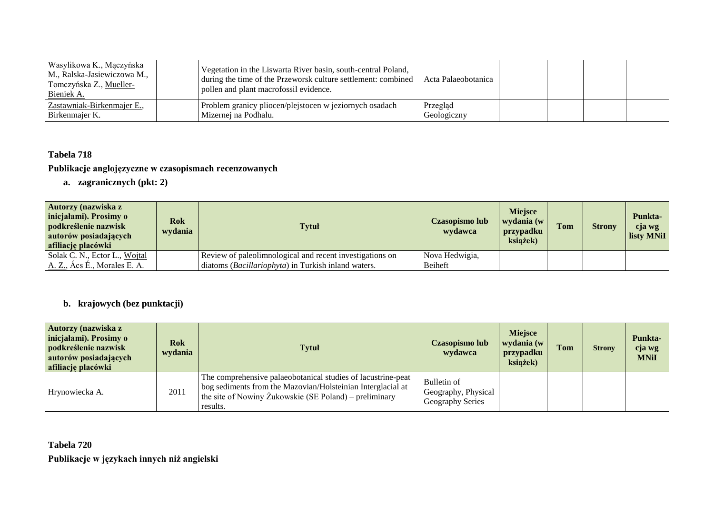| Wasylikowa K., Mączyńska<br>M., Ralska-Jasiewiczowa M.,<br>Tomczyńska Z., Mueller-<br>Bieniek A. | Vegetation in the Liswarta River basin, south-central Poland,<br>during the time of the Przeworsk culture settlement: combined<br>pollen and plant macrofossil evidence. | Acta Palaeobotanica     |  |  |
|--------------------------------------------------------------------------------------------------|--------------------------------------------------------------------------------------------------------------------------------------------------------------------------|-------------------------|--|--|
| Zastawniak-Birkenmajer E.,<br>Birkenmajer K.                                                     | Problem granicy pliocen/plejstocen w jeziornych osadach<br>Mizernej na Podhalu.                                                                                          | Przegląd<br>Geologiczny |  |  |

## **Tabela 718**

### **Publikacje anglojęzyczne w czasopismach recenzowanych**

**a. zagranicznych (pkt: 2)**

| Autorzy (nazwiska z<br>inicjałami). Prosimy o<br>podkreślenie nazwisk<br>autorów posiadających<br>afiliację placówki | <b>Rok</b><br>wydania | <b>Tytuł</b>                                             | Czasopismo lub<br>wydawca | <b>Miejsce</b><br>wydania (w<br>przypadku<br>książek) | Tom | <b>Strony</b> | Punkta-<br>cja wg<br>listy MNiI |
|----------------------------------------------------------------------------------------------------------------------|-----------------------|----------------------------------------------------------|---------------------------|-------------------------------------------------------|-----|---------------|---------------------------------|
| Solak C. N., Ector L., Wojtal                                                                                        |                       | Review of paleolimnological and recent investigations on | Nova Hedwigia,            |                                                       |     |               |                                 |
| A. Z., Acs E., Morales E. A.                                                                                         |                       | diatoms (Bacillariophyta) in Turkish inland waters.      | Beiheft                   |                                                       |     |               |                                 |

# **b. krajowych (bez punktacji)**

| Autorzy (nazwiska z<br>inicjałami). Prosimy o<br>podkreślenie nazwisk<br>autorów posiadających<br>afiliację placówki | <b>Rok</b><br>wydania | <b>Tytuł</b>                                                                                                                                                                                      | Czasopismo lub<br>wydawca                                     | <b>Miejsce</b><br>wydania (w<br>przypadku<br>książek) | <b>Tom</b> | <b>Strony</b> | <b>Punkta-</b><br>cja wg<br><b>MNiI</b> |
|----------------------------------------------------------------------------------------------------------------------|-----------------------|---------------------------------------------------------------------------------------------------------------------------------------------------------------------------------------------------|---------------------------------------------------------------|-------------------------------------------------------|------------|---------------|-----------------------------------------|
| Hrynowiecka A.                                                                                                       | 2011                  | The comprehensive palaeobotanical studies of lacustrine-peat<br>bog sediments from the Mazovian/Holsteinian Interglacial at<br>the site of Nowiny Żukowskie (SE Poland) – preliminary<br>results. | Bulletin of<br>Geography, Physical<br><b>Geography Series</b> |                                                       |            |               |                                         |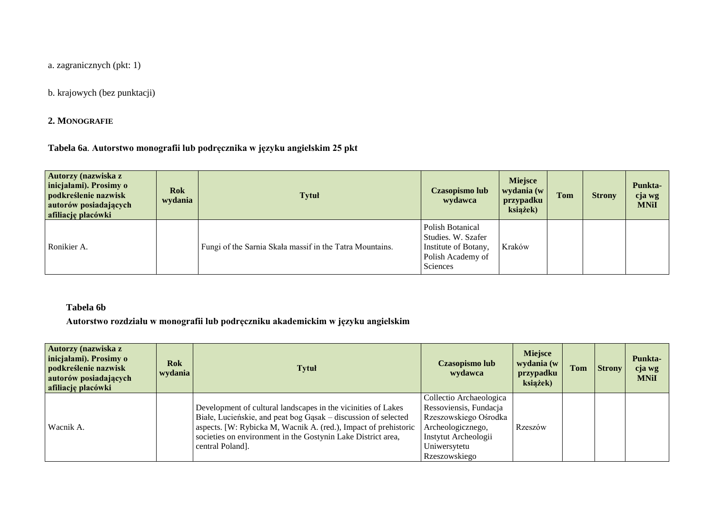a. zagranicznych (pkt: 1)

b. krajowych (bez punktacji)

**2. MONOGRAFIE** 

**Tabela 6a**. **Autorstwo monografii lub podręcznika w języku angielskim 25 pkt**

| Autorzy (nazwiska z<br>inicjałami). Prosimy o<br>podkreślenie nazwisk<br>autorów posiadających<br>afiliację placówki | <b>Rok</b><br>wydania | <b>Tytuł</b>                                             | Czasopismo lub<br>wydawca                                                                              | <b>Miejsce</b><br>wydania (w<br>przypadku<br>książek) | <b>Tom</b> | <b>Strony</b> | Punkta-<br>cja wg<br><b>MNiI</b> |
|----------------------------------------------------------------------------------------------------------------------|-----------------------|----------------------------------------------------------|--------------------------------------------------------------------------------------------------------|-------------------------------------------------------|------------|---------------|----------------------------------|
| Ronikier A.                                                                                                          |                       | Fungi of the Sarnia Skała massif in the Tatra Mountains. | Polish Botanical<br>Studies. W. Szafer<br>Institute of Botany,<br>Polish Academy of<br><b>Sciences</b> | Kraków                                                |            |               |                                  |

### **Tabela 6b**

**Autorstwo rozdziału w monografii lub podręczniku akademickim w języku angielskim**

| Autorzy (nazwiska z<br>inicjałami). Prosimy o<br>podkreślenie nazwisk<br>autorów posiadających<br>afiliację placówki | <b>Rok</b><br>wydania | Tytuł                                                                                                                                                                                                                                                                                  | Czasopismo lub<br>wydawca                                                                                                                                | <b>Miejsce</b><br>wydania (w<br>przypadku<br>książek) | <b>Tom</b> | <b>Strony</b> | Punkta-<br>cja wg<br><b>MNiI</b> |
|----------------------------------------------------------------------------------------------------------------------|-----------------------|----------------------------------------------------------------------------------------------------------------------------------------------------------------------------------------------------------------------------------------------------------------------------------------|----------------------------------------------------------------------------------------------------------------------------------------------------------|-------------------------------------------------------|------------|---------------|----------------------------------|
| Wacnik A.                                                                                                            |                       | Development of cultural landscapes in the vicinities of Lakes<br>Białe, Lucieńskie, and peat bog Gąsak – discussion of selected<br>aspects. [W: Rybicka M, Wacnik A. (red.), Impact of prehistoric<br>societies on environment in the Gostynin Lake District area,<br>central Poland]. | Collectio Archaeologica<br>Ressoviensis, Fundacja<br>Rzeszowskiego Ośrodka<br>Archeologicznego,<br>Instytut Archeologii<br>Uniwersytetu<br>Rzeszowskiego | Rzeszów                                               |            |               |                                  |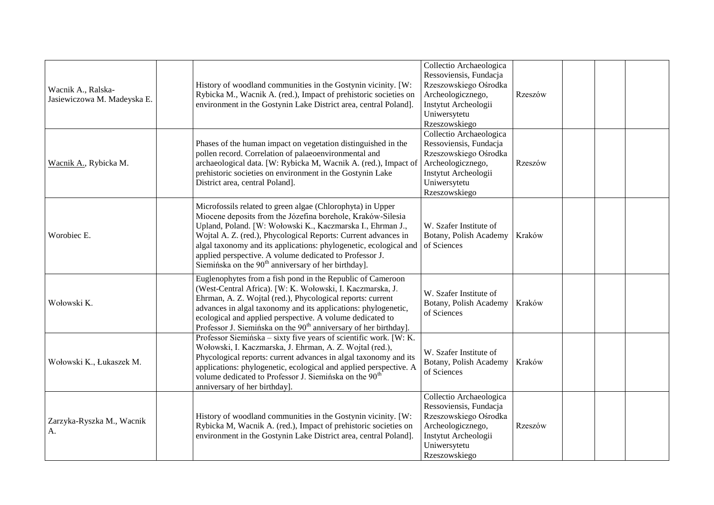| Wacnik A., Ralska-<br>Jasiewiczowa M. Madeyska E. | History of woodland communities in the Gostynin vicinity. [W:<br>Rybicka M., Wacnik A. (red.), Impact of prehistoric societies on<br>environment in the Gostynin Lake District area, central Poland].                                                                                                                                                                                                                                                        | Collectio Archaeologica<br>Ressoviensis, Fundacja<br>Rzeszowskiego Ośrodka<br>Archeologicznego,<br>Instytut Archeologii<br>Uniwersytetu<br>Rzeszowskiego | Rzeszów |  |  |
|---------------------------------------------------|--------------------------------------------------------------------------------------------------------------------------------------------------------------------------------------------------------------------------------------------------------------------------------------------------------------------------------------------------------------------------------------------------------------------------------------------------------------|----------------------------------------------------------------------------------------------------------------------------------------------------------|---------|--|--|
| Wacnik A., Rybicka M.                             | Phases of the human impact on vegetation distinguished in the<br>pollen record. Correlation of palaeoenvironmental and<br>archaeological data. [W: Rybicka M, Wacnik A. (red.), Impact of<br>prehistoric societies on environment in the Gostynin Lake<br>District area, central Poland].                                                                                                                                                                    | Collectio Archaeologica<br>Ressoviensis, Fundacja<br>Rzeszowskiego Ośrodka<br>Archeologicznego,<br>Instytut Archeologii<br>Uniwersytetu<br>Rzeszowskiego | Rzeszów |  |  |
| Worobiec E.                                       | Microfossils related to green algae (Chlorophyta) in Upper<br>Miocene deposits from the Józefina borehole, Kraków-Silesia<br>Upland, Poland. [W: Wołowski K., Kaczmarska I., Ehrman J.,<br>Wojtal A. Z. (red.), Phycological Reports: Current advances in<br>algal taxonomy and its applications: phylogenetic, ecological and<br>applied perspective. A volume dedicated to Professor J.<br>Siemińska on the 90 <sup>th</sup> anniversary of her birthday]. | W. Szafer Institute of<br>Botany, Polish Academy<br>of Sciences                                                                                          | Kraków  |  |  |
| Wołowski K.                                       | Euglenophytes from a fish pond in the Republic of Cameroon<br>(West-Central Africa). [W: K. Wołowski, I. Kaczmarska, J.<br>Ehrman, A. Z. Wojtal (red.), Phycological reports: current<br>advances in algal taxonomy and its applications: phylogenetic,<br>ecological and applied perspective. A volume dedicated to<br>Professor J. Siemińska on the 90 <sup>th</sup> anniversary of her birthday].                                                         | W. Szafer Institute of<br>Botany, Polish Academy<br>of Sciences                                                                                          | Kraków  |  |  |
| Wołowski K., Łukaszek M.                          | Professor Siemińska – sixty five years of scientific work. [W: K.]<br>Wołowski, I. Kaczmarska, J. Ehrman, A. Z. Wojtal (red.),<br>Phycological reports: current advances in algal taxonomy and its<br>applications: phylogenetic, ecological and applied perspective. A<br>volume dedicated to Professor J. Siemińska on the 90 <sup>th</sup><br>anniversary of her birthday].                                                                               | W. Szafer Institute of<br>Botany, Polish Academy<br>of Sciences                                                                                          | Kraków  |  |  |
| Zarzyka-Ryszka M., Wacnik<br>А.                   | History of woodland communities in the Gostynin vicinity. [W:<br>Rybicka M, Wacnik A. (red.), Impact of prehistoric societies on<br>environment in the Gostynin Lake District area, central Poland].                                                                                                                                                                                                                                                         | Collectio Archaeologica<br>Ressoviensis, Fundacja<br>Rzeszowskiego Ośrodka<br>Archeologicznego,<br>Instytut Archeologii<br>Uniwersytetu<br>Rzeszowskiego | Rzeszów |  |  |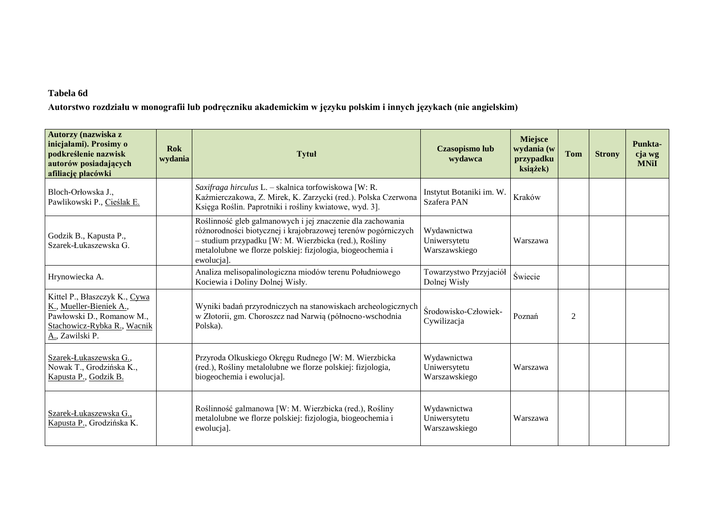## **Tabela 6d**

**Autorstwo rozdziału w monografii lub podręczniku akademickim w języku polskim i innych językach (nie angielskim)**

| Autorzy (nazwiska z<br>inicjałami). Prosimy o<br>podkreślenie nazwisk<br>autorów posiadających<br>afiliację placówki                    | <b>Rok</b><br>wydania | <b>Tytuł</b>                                                                                                                                                                                                                                                     | <b>Czasopismo lub</b><br>wydawca             | <b>Miejsce</b><br>wydania (w<br>przypadku<br>książek) | <b>Tom</b>     | <b>Strony</b> | Punkta-<br>cja wg<br><b>MNiI</b> |
|-----------------------------------------------------------------------------------------------------------------------------------------|-----------------------|------------------------------------------------------------------------------------------------------------------------------------------------------------------------------------------------------------------------------------------------------------------|----------------------------------------------|-------------------------------------------------------|----------------|---------------|----------------------------------|
| Bloch-Orłowska J.,<br>Pawlikowski P., Cieślak E.                                                                                        |                       | Saxifraga hirculus L. - skalnica torfowiskowa [W: R.<br>Kaźmierczakowa, Z. Mirek, K. Zarzycki (red.). Polska Czerwona<br>Księga Roślin. Paprotniki i rośliny kwiatowe, wyd. 3].                                                                                  | Instytut Botaniki im. W.<br>Szafera PAN      | Kraków                                                |                |               |                                  |
| Godzik B., Kapusta P.,<br>Szarek-Łukaszewska G.                                                                                         |                       | Roślinność gleb galmanowych i jej znaczenie dla zachowania<br>różnorodności biotycznej i krajobrazowej terenów pogórniczych<br>- studium przypadku [W: M. Wierzbicka (red.), Rośliny<br>metalolubne we florze polskiej: fizjologia, biogeochemia i<br>ewolucja]. | Wydawnictwa<br>Uniwersytetu<br>Warszawskiego | Warszawa                                              |                |               |                                  |
| Hrynowiecka A.                                                                                                                          |                       | Analiza melisopalinologiczna miodów terenu Południowego<br>Kociewia i Doliny Dolnej Wisły.                                                                                                                                                                       | Towarzystwo Przyjaciół<br>Dolnej Wisły       | Świecie                                               |                |               |                                  |
| Kittel P., Błaszczyk K., Cywa<br>K., Mueller-Bieniek A.,<br>Pawłowski D., Romanow M.,<br>Stachowicz-Rybka R., Wacnik<br>A., Zawilski P. |                       | Wyniki badań przyrodniczych na stanowiskach archeologicznych<br>w Złotorii, gm. Choroszcz nad Narwią (północno-wschodnia<br>Polska).                                                                                                                             | Środowisko-Człowiek-<br>Cywilizacja          | Poznań                                                | $\overline{2}$ |               |                                  |
| Szarek-Łukaszewska G.,<br>Nowak T., Grodzińska K.,<br>Kapusta P., Godzik B.                                                             |                       | Przyroda Olkuskiego Okręgu Rudnego [W: M. Wierzbicka<br>(red.), Rośliny metalolubne we florze polskiej: fizjologia,<br>biogeochemia i ewolucja].                                                                                                                 | Wydawnictwa<br>Uniwersytetu<br>Warszawskiego | Warszawa                                              |                |               |                                  |
| Szarek-Łukaszewska G.,<br>Kapusta P., Grodzińska K.                                                                                     |                       | Roślinność galmanowa [W: M. Wierzbicka (red.), Rośliny<br>metalolubne we florze polskiej: fizjologia, biogeochemia i<br>ewolucja].                                                                                                                               | Wydawnictwa<br>Uniwersytetu<br>Warszawskiego | Warszawa                                              |                |               |                                  |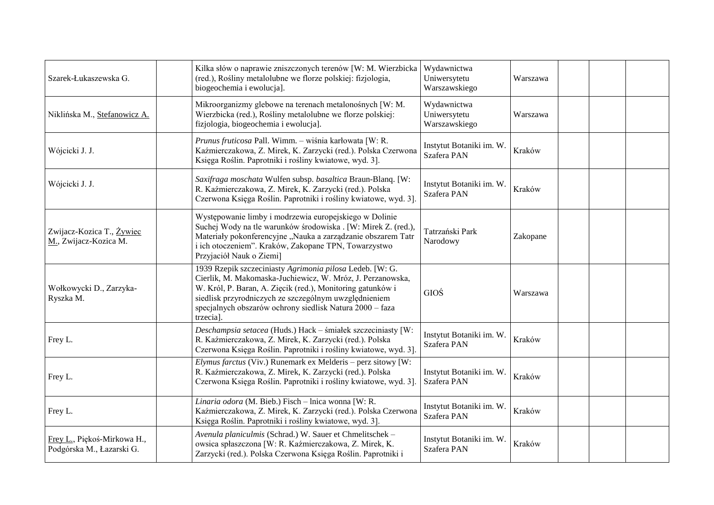| Szarek-Łukaszewska G.                                    | Kilka słów o naprawie zniszczonych terenów [W: M. Wierzbicka<br>(red.), Rośliny metalolubne we florze polskiej: fizjologia,<br>biogeochemia i ewolucja].                                                                                                                                                               | Wydawnictwa<br>Uniwersytetu<br>Warszawskiego | Warszawa |  |  |
|----------------------------------------------------------|------------------------------------------------------------------------------------------------------------------------------------------------------------------------------------------------------------------------------------------------------------------------------------------------------------------------|----------------------------------------------|----------|--|--|
| Niklińska M., Stefanowicz A.                             | Mikroorganizmy glebowe na terenach metalonośnych [W: M.<br>Wierzbicka (red.), Rośliny metalolubne we florze polskiej:<br>fizjologia, biogeochemia i ewolucja].                                                                                                                                                         | Wydawnictwa<br>Uniwersytetu<br>Warszawskiego | Warszawa |  |  |
| Wójcicki J. J.                                           | Prunus fruticosa Pall. Wimm. - wiśnia karłowata [W: R.<br>Kaźmierczakowa, Z. Mirek, K. Zarzycki (red.). Polska Czerwona<br>Księga Roślin. Paprotniki i rośliny kwiatowe, wyd. 3].                                                                                                                                      | Instytut Botaniki im. W.<br>Szafera PAN      | Kraków   |  |  |
| Wójcicki J. J.                                           | Saxifraga moschata Wulfen subsp. basaltica Braun-Blanq. [W:<br>R. Kaźmierczakowa, Z. Mirek, K. Zarzycki (red.). Polska<br>Czerwona Księga Roślin. Paprotniki i rośliny kwiatowe, wyd. 3].                                                                                                                              | Instytut Botaniki im. W.<br>Szafera PAN      | Kraków   |  |  |
| Zwijacz-Kozica T., Żywiec<br>M., Zwijacz-Kozica M.       | Występowanie limby i modrzewia europejskiego w Dolinie<br>Suchej Wody na tle warunków środowiska . [W: Mirek Z. (red.),<br>Materiały pokonferencyjne "Nauka a zarządzanie obszarem Tatr<br>i ich otoczeniem". Kraków, Zakopane TPN, Towarzystwo<br>Przyjaciół Nauk o Ziemi]                                            | Tatrzański Park<br>Narodowy                  | Zakopane |  |  |
| Wołkowycki D., Zarzyka-<br>Ryszka M.                     | 1939 Rzepik szczeciniasty Agrimonia pilosa Ledeb. [W: G.<br>Cierlik, M. Makomaska-Juchiewicz, W. Mróz, J. Perzanowska,<br>W. Król, P. Baran, A. Zięcik (red.), Monitoring gatunków i<br>siedlisk przyrodniczych ze szczególnym uwzględnieniem<br>specjalnych obszarów ochrony siedlisk Natura 2000 – faza<br>trzecia]. | GIOŚ                                         | Warszawa |  |  |
| Frey L.                                                  | Deschampsia setacea (Huds.) Hack - śmiałek szczeciniasty [W:<br>R. Kaźmierczakowa, Z. Mirek, K. Zarzycki (red.). Polska<br>Czerwona Księga Roślin. Paprotniki i rośliny kwiatowe, wyd. 3].                                                                                                                             | Instytut Botaniki im. W.<br>Szafera PAN      | Kraków   |  |  |
| Frey L.                                                  | Elymus farctus (Viv.) Runemark ex Melderis – perz sitowy [W:<br>R. Kaźmierczakowa, Z. Mirek, K. Zarzycki (red.). Polska<br>Czerwona Księga Roślin. Paprotniki i rośliny kwiatowe, wyd. 3].                                                                                                                             | Instytut Botaniki im. W.<br>Szafera PAN      | Kraków   |  |  |
| Frey L.                                                  | Linaria odora (M. Bieb.) Fisch - lnica wonna [W: R.<br>Kaźmierczakowa, Z. Mirek, K. Zarzycki (red.). Polska Czerwona<br>Księga Roślin. Paprotniki i rośliny kwiatowe, wyd. 3].                                                                                                                                         | Instytut Botaniki im. W.<br>Szafera PAN      | Kraków   |  |  |
| Frey L., Piękoś-Mirkowa H.,<br>Podgórska M., Łazarski G. | Avenula planiculmis (Schrad.) W. Sauer et Chmelitschek -<br>owsica spłaszczona [W: R. Kaźmierczakowa, Z. Mirek, K.<br>Zarzycki (red.). Polska Czerwona Księga Roślin. Paprotniki i                                                                                                                                     | Instytut Botaniki im. W.<br>Szafera PAN      | Kraków   |  |  |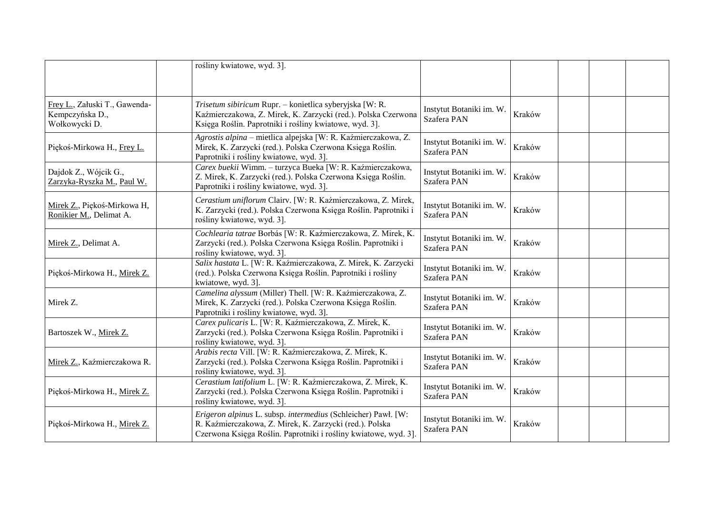|                                                                   | rośliny kwiatowe, wyd. 3].                                                                                                                                                                  |                                         |        |  |  |
|-------------------------------------------------------------------|---------------------------------------------------------------------------------------------------------------------------------------------------------------------------------------------|-----------------------------------------|--------|--|--|
| Frey L., Załuski T., Gawenda-<br>Kempczyńska D.,<br>Wołkowycki D. | Trisetum sibiricum Rupr. - konietlica syberyjska [W: R.<br>Kaźmierczakowa, Z. Mirek, K. Zarzycki (red.). Polska Czerwona<br>Księga Roślin. Paprotniki i rośliny kwiatowe, wyd. 3].          | Instytut Botaniki im. W.<br>Szafera PAN | Kraków |  |  |
| Piękoś-Mirkowa H., Frey L.                                        | Agrostis alpina - mietlica alpejska [W: R. Kaźmierczakowa, Z.<br>Mirek, K. Zarzycki (red.). Polska Czerwona Księga Roślin.<br>Paprotniki i rośliny kwiatowe, wyd. 3].                       | Instytut Botaniki im. W<br>Szafera PAN  | Kraków |  |  |
| Dajdok Z., Wójcik G.,<br>Zarzyka-Ryszka M., Paul W.               | Carex buekii Wimm. - turzyca Bueka [W: R. Kaźmierczakowa,<br>Z. Mirek, K. Zarzycki (red.). Polska Czerwona Księga Roślin.<br>Paprotniki i rośliny kwiatowe, wyd. 3]                         | Instytut Botaniki im. W.<br>Szafera PAN | Kraków |  |  |
| Mirek Z., Piękoś-Mirkowa H,<br>Ronikier M., Delimat A.            | Cerastium uniflorum Clairv. [W: R. Kaźmierczakowa, Z. Mirek,<br>K. Zarzycki (red.). Polska Czerwona Księga Roślin. Paprotniki i<br>rośliny kwiatowe, wyd. 3].                               | Instytut Botaniki im. W.<br>Szafera PAN | Kraków |  |  |
| Mirek Z., Delimat A.                                              | Cochlearia tatrae Borbás [W: R. Kaźmierczakowa, Z. Mirek, K.<br>Zarzycki (red.). Polska Czerwona Księga Roślin. Paprotniki i<br>rośliny kwiatowe, wyd. 3]                                   | Instytut Botaniki im. W.<br>Szafera PAN | Kraków |  |  |
| Piękoś-Mirkowa H., Mirek Z.                                       | Salix hastata L. [W: R. Kaźmierczakowa, Z. Mirek, K. Zarzycki<br>(red.). Polska Czerwona Księga Roślin. Paprotniki i rośliny<br>kwiatowe, wyd. 3].                                          | Instytut Botaniki im. W.<br>Szafera PAN | Kraków |  |  |
| Mirek Z.                                                          | Camelina alyssum (Miller) Thell. [W: R. Kaźmierczakowa, Z.<br>Mirek, K. Zarzycki (red.). Polska Czerwona Księga Roślin.<br>Paprotniki i rośliny kwiatowe, wyd. 3].                          | Instytut Botaniki im. W.<br>Szafera PAN | Kraków |  |  |
| Bartoszek W., Mirek Z.                                            | Carex pulicaris L. [W: R. Kaźmierczakowa, Z. Mirek, K.<br>Zarzycki (red.). Polska Czerwona Księga Roślin. Paprotniki i<br>rośliny kwiatowe, wyd. 3].                                        | Instytut Botaniki im. W.<br>Szafera PAN | Kraków |  |  |
| Mirek Z., Kaźmierczakowa R.                                       | Arabis recta Vill. [W: R. Kaźmierczakowa, Z. Mirek, K.<br>Zarzycki (red.). Polska Czerwona Księga Roślin. Paprotniki i<br>rośliny kwiatowe, wyd. 3].                                        | Instytut Botaniki im. W.<br>Szafera PAN | Kraków |  |  |
| Piękoś-Mirkowa H., Mirek Z.                                       | Cerastium latifolium L. [W: R. Kaźmierczakowa, Z. Mirek, K.<br>Zarzycki (red.). Polska Czerwona Księga Roślin. Paprotniki i<br>rośliny kwiatowe, wyd. 3]                                    | Instytut Botaniki im. W.<br>Szafera PAN | Kraków |  |  |
| Piękoś-Mirkowa H., Mirek Z.                                       | Erigeron alpinus L. subsp. intermedius (Schleicher) Pawł. [W:<br>R. Kaźmierczakowa, Z. Mirek, K. Zarzycki (red.). Polska<br>Czerwona Księga Roślin. Paprotniki i rośliny kwiatowe, wyd. 3]. | Instytut Botaniki im. W.<br>Szafera PAN | Kraków |  |  |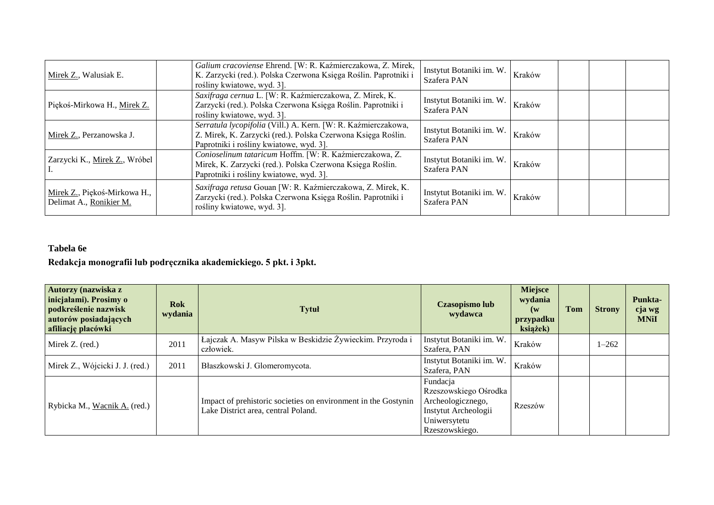| Mirek Z., Walusiak E.                                   | Galium cracoviense Ehrend. [W: R. Kaźmierczakowa, Z. Mirek,<br>K. Zarzycki (red.). Polska Czerwona Księga Roślin. Paprotniki i<br>rośliny kwiatowe, wyd. 3].             | Instytut Botaniki im. W.<br>Szafera PAN | Kraków |  |  |
|---------------------------------------------------------|--------------------------------------------------------------------------------------------------------------------------------------------------------------------------|-----------------------------------------|--------|--|--|
| Piękoś-Mirkowa H., Mirek Z.                             | Saxifraga cernua L. [W: R. Kaźmierczakowa, Z. Mirek, K.<br>Zarzycki (red.). Polska Czerwona Księga Roślin. Paprotniki i<br>rośliny kwiatowe, wyd. 3].                    | Instytut Botaniki im. W.<br>Szafera PAN | Kraków |  |  |
| Mirek Z., Perzanowska J.                                | Serratula lycopifolia (Vill.) A. Kern. [W: R. Kaźmierczakowa,<br>Z. Mirek, K. Zarzycki (red.). Polska Czerwona Księga Roślin.<br>Paprotniki i rośliny kwiatowe, wyd. 3]. | Instytut Botaniki im. W.<br>Szafera PAN | Kraków |  |  |
| Zarzycki K., Mirek Z., Wróbel                           | Conioselinum tataricum Hoffm. [W: R. Kaźmierczakowa, Z.<br>Mirek, K. Zarzycki (red.). Polska Czerwona Księga Roślin.<br>Paprotniki i rośliny kwiatowe, wyd. 3].          | Instytut Botaniki im. W.<br>Szafera PAN | Kraków |  |  |
| Mirek Z., Piękoś-Mirkowa H.,<br>Delimat A., Ronikier M. | Saxifraga retusa Gouan [W: R. Kaźmierczakowa, Z. Mirek, K.<br>Zarzycki (red.). Polska Czerwona Księga Roślin. Paprotniki i<br>rośliny kwiatowe, wyd. 3].                 | Instytut Botaniki im. W.<br>Szafera PAN | Kraków |  |  |

# **Tabela 6e**

# **Redakcja monografii lub podręcznika akademickiego. 5 pkt. i 3pkt.**

| Autorzy (nazwiska z<br>inicjałami). Prosimy o<br>podkreślenie nazwisk<br>autorów posiadających<br>afiliację placówki | <b>Rok</b><br>wydania | <b>Tytuł</b>                                                                                          | Czasopismo lub<br>wydawca                                                                                        | <b>Miejsce</b><br>wydania<br>$(\mathbf{w})$<br>przypadku<br>książek) | Tom | <b>Strony</b> | Punkta-<br>cja wg<br><b>MNiI</b> |
|----------------------------------------------------------------------------------------------------------------------|-----------------------|-------------------------------------------------------------------------------------------------------|------------------------------------------------------------------------------------------------------------------|----------------------------------------------------------------------|-----|---------------|----------------------------------|
| Mirek Z. (red.)                                                                                                      | 2011                  | Łajczak A. Masyw Pilska w Beskidzie Żywieckim. Przyroda i<br>człowiek.                                | Instytut Botaniki im. W.<br>Szafera, PAN                                                                         | Kraków                                                               |     | $1 - 262$     |                                  |
| Mirek Z., Wójcicki J. J. (red.)                                                                                      | 2011                  | Błaszkowski J. Glomeromycota.                                                                         | Instytut Botaniki im. W.<br>Szafera, PAN                                                                         | Kraków                                                               |     |               |                                  |
| Rybicka M., Wacnik A. (red.)                                                                                         |                       | Impact of prehistoric societies on environment in the Gostynin<br>Lake District area, central Poland. | Fundacja<br>Rzeszowskiego Ośrodka<br>Archeologicznego,<br>Instytut Archeologii<br>Uniwersytetu<br>Rzeszowskiego. | Rzeszów                                                              |     |               |                                  |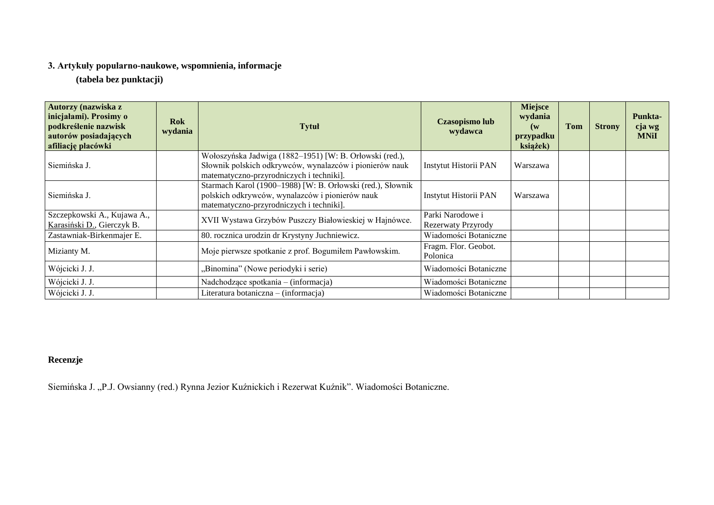# **3. Artykuły popularno-naukowe, wspomnienia, informacje**

**(tabela bez punktacji)**

| Autorzy (nazwiska z<br>inicjałami). Prosimy o<br>podkreślenie nazwisk<br>autorów posiadających<br>afiliację placówki | <b>Rok</b><br>wydania | Tytuł                                                                                                                                                          | <b>Czasopismo lub</b><br>wydawca       | <b>Miejsce</b><br>wydania<br>(w<br>przypadku<br>książek) | <b>Tom</b> | <b>Strony</b> | Punkta-<br>cja wg<br><b>MNiI</b> |
|----------------------------------------------------------------------------------------------------------------------|-----------------------|----------------------------------------------------------------------------------------------------------------------------------------------------------------|----------------------------------------|----------------------------------------------------------|------------|---------------|----------------------------------|
| Siemińska J.                                                                                                         |                       | Wołoszyńska Jadwiga (1882–1951) [W: B. Orłowski (red.),<br>Słownik polskich odkrywców, wynalazców i pionierów nauk<br>matematyczno-przyrodniczych i techniki]. | Instytut Historii PAN                  | Warszawa                                                 |            |               |                                  |
| Siemińska J.                                                                                                         |                       | Starmach Karol (1900-1988) [W: B. Orłowski (red.), Słownik<br>polskich odkrywców, wynalazców i pionierów nauk<br>matematyczno-przyrodniczych i techniki].      | Instytut Historii PAN                  | Warszawa                                                 |            |               |                                  |
| Szczepkowski A., Kujawa A.,<br>Karasiński D., Gierczyk B.                                                            |                       | XVII Wystawa Grzybów Puszczy Białowieskiej w Hajnówce.                                                                                                         | Parki Narodowe i<br>Rezerwaty Przyrody |                                                          |            |               |                                  |
| Zastawniak-Birkenmajer E.                                                                                            |                       | 80. rocznica urodzin dr Krystyny Juchniewicz.                                                                                                                  | Wiadomości Botaniczne                  |                                                          |            |               |                                  |
| Mizianty M.                                                                                                          |                       | Moje pierwsze spotkanie z prof. Bogumiłem Pawłowskim.                                                                                                          | Fragm. Flor. Geobot.<br>Polonica       |                                                          |            |               |                                  |
| Wójcicki J. J.                                                                                                       |                       | "Binomina" (Nowe periodyki i serie)                                                                                                                            | Wiadomości Botaniczne                  |                                                          |            |               |                                  |
| Wójcicki J. J.                                                                                                       |                       | Nadchodzące spotkania – (informacja)                                                                                                                           | Wiadomości Botaniczne                  |                                                          |            |               |                                  |
| Wójcicki J. J.                                                                                                       |                       | Literatura botaniczna – (informacja)                                                                                                                           | Wiadomości Botaniczne                  |                                                          |            |               |                                  |

# **Recenzje**

Siemińska J. "P.J. Owsianny (red.) Rynna Jezior Kuźnickich i Rezerwat Kuźnik". Wiadomości Botaniczne.